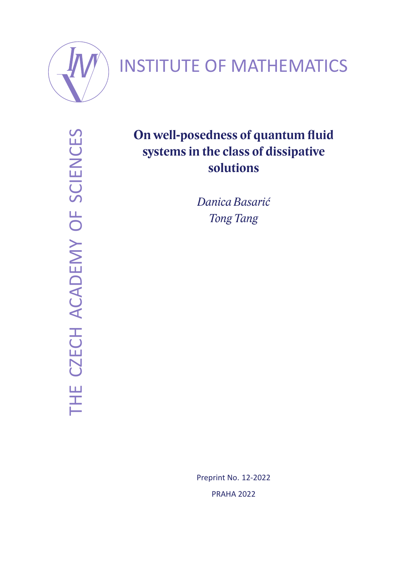

# INSTITUTE OF MATHEMATICS

THE CZECH ACADEMY OF SCIENCES THE CZECH ACADEMY OF SCIENCES

## **On well-posedness of quantum fluid systems in the class of dissipative solutions**

*Danica Basarić Tong Tang*

Preprint No. 12-2022 PRAHA 2022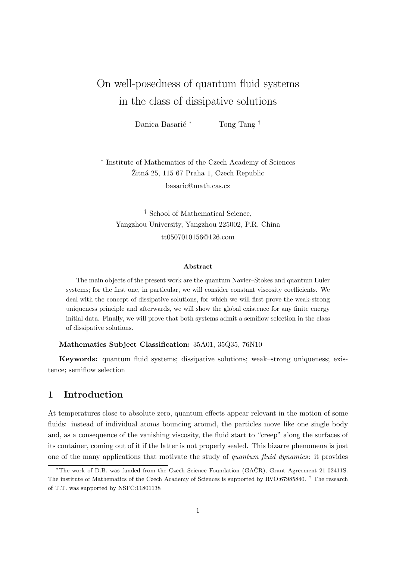## On well-posedness of quantum fluid systems in the class of dissipative solutions

Danica Basarić \* Tong Tang †

∗ Institute of Mathematics of the Czech Academy of Sciences Žitná 25, 115 67 Praha 1, Czech Republic basaric@math.cas.cz

† School of Mathematical Science, Yangzhou University, Yangzhou 225002, P.R. China tt0507010156@126.com

#### Abstract

The main objects of the present work are the quantum Navier–Stokes and quantum Euler systems; for the first one, in particular, we will consider constant viscosity coefficients. We deal with the concept of dissipative solutions, for which we will first prove the weak-strong uniqueness principle and afterwards, we will show the global existence for any finite energy initial data. Finally, we will prove that both systems admit a semiflow selection in the class of dissipative solutions.

Mathematics Subject Classification: 35A01, 35Q35, 76N10

Keywords: quantum fluid systems; dissipative solutions; weak–strong uniqueness; existence; semiflow selection

## 1 Introduction

At temperatures close to absolute zero, quantum effects appear relevant in the motion of some fluids: instead of individual atoms bouncing around, the particles move like one single body and, as a consequence of the vanishing viscosity, the fluid start to "creep" along the surfaces of its container, coming out of it if the latter is not properly sealed. This bizarre phenomena is just one of the many applications that motivate the study of quantum fluid dynamics: it provides

<sup>\*</sup>The work of D.B. was funded from the Czech Science Foundation (GAČR), Grant Agreement 21-02411S. The institute of Mathematics of the Czech Academy of Sciences is supported by RVO:67985840. † The research of T.T. was supported by NSFC:11801138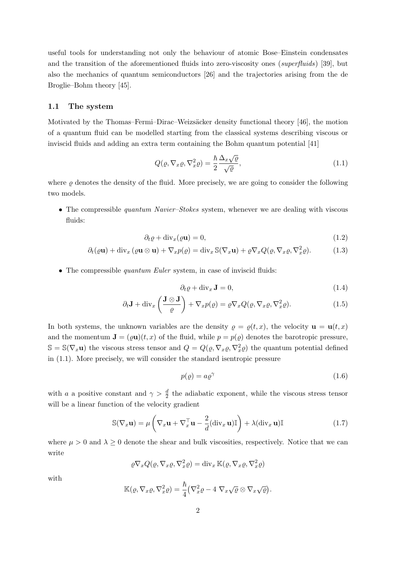useful tools for understanding not only the behaviour of atomic Bose–Einstein condensates and the transition of the aforementioned fluids into zero-viscosity ones (superfluids) [39], but also the mechanics of quantum semiconductors [26] and the trajectories arising from the de Broglie–Bohm theory [45].

#### 1.1 The system

Motivated by the Thomas–Fermi–Dirac–Weizsäcker density functional theory [46], the motion of a quantum fluid can be modelled starting from the classical systems describing viscous or inviscid fluids and adding an extra term containing the Bohm quantum potential [41]

$$
Q(\varrho, \nabla_x \varrho, \nabla_x^2 \varrho) = \frac{\hbar}{2} \frac{\Delta_x \sqrt{\varrho}}{\sqrt{\varrho}},\tag{1.1}
$$

where  $\rho$  denotes the density of the fluid. More precisely, we are going to consider the following two models.

• The compressible *quantum Navier–Stokes* system, whenever we are dealing with viscous fluids:

$$
\partial_t \varrho + \text{div}_x(\varrho \mathbf{u}) = 0,\tag{1.2}
$$

$$
\partial_t(\varrho \mathbf{u}) + \operatorname{div}_x(\varrho \mathbf{u} \otimes \mathbf{u}) + \nabla_x p(\varrho) = \operatorname{div}_x \mathbb{S}(\nabla_x \mathbf{u}) + \varrho \nabla_x Q(\varrho, \nabla_x \varrho, \nabla_x^2 \varrho).
$$
(1.3)

• The compressible *quantum Euler* system, in case of inviscid fluids:

$$
\partial_t \varrho + \text{div}_x \mathbf{J} = 0,\tag{1.4}
$$

$$
\partial_t \mathbf{J} + \text{div}_x \left( \frac{\mathbf{J} \otimes \mathbf{J}}{\varrho} \right) + \nabla_x p(\varrho) = \varrho \nabla_x Q(\varrho, \nabla_x \varrho, \nabla_x^2 \varrho).
$$
 (1.5)

In both systems, the unknown variables are the density  $\rho = \rho(t, x)$ , the velocity  $\mathbf{u} = \mathbf{u}(t, x)$ and the momentum  $\mathbf{J} = (\varrho \mathbf{u})(t, x)$  of the fluid, while  $p = p(\varrho)$  denotes the barotropic pressure,  $\mathbb{S} = \mathbb{S}(\nabla_x \mathbf{u})$  the viscous stress tensor and  $Q = Q(\varrho, \nabla_x \varrho, \nabla_x^2 \varrho)$  the quantum potential defined in (1.1). More precisely, we will consider the standard isentropic pressure

$$
p(\varrho) = a\varrho^{\gamma} \tag{1.6}
$$

with a a positive constant and  $\gamma > \frac{d}{2}$  the adiabatic exponent, while the viscous stress tensor will be a linear function of the velocity gradient

$$
\mathbb{S}(\nabla_x \mathbf{u}) = \mu \left( \nabla_x \mathbf{u} + \nabla_x^{\top} \mathbf{u} - \frac{2}{d} (\text{div}_x \mathbf{u}) \mathbb{I} \right) + \lambda (\text{div}_x \mathbf{u}) \mathbb{I}
$$
(1.7)

where  $\mu > 0$  and  $\lambda \geq 0$  denote the shear and bulk viscosities, respectively. Notice that we can write

$$
\varrho \nabla_x Q(\varrho, \nabla_x \varrho, \nabla_x^2 \varrho) = \text{div}_x \mathbb{K}(\varrho, \nabla_x \varrho, \nabla_x^2 \varrho)
$$

with

$$
\mathbb{K}(\varrho,\nabla_x\varrho,\nabla_x^2\varrho)=\frac{\hbar}{4}\big(\nabla_x^2\varrho-4~\nabla_x\sqrt{\varrho}\otimes\nabla_x\sqrt{\varrho}\big).
$$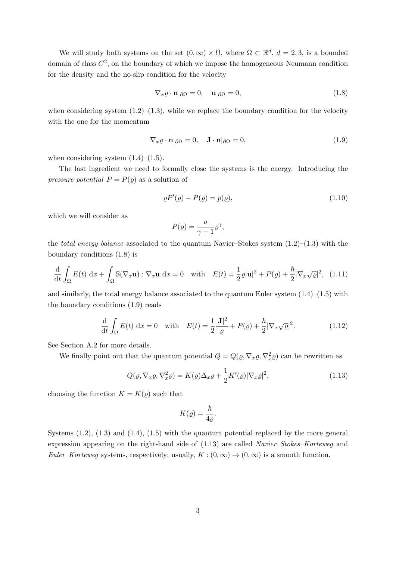We will study both systems on the set  $(0, \infty) \times \Omega$ , where  $\Omega \subset \mathbb{R}^d$ ,  $d = 2, 3$ , is a bounded domain of class  $C^2$ , on the boundary of which we impose the homogeneous Neumann condition for the density and the no-slip condition for the velocity

$$
\nabla_x \varrho \cdot \mathbf{n} |_{\partial \Omega} = 0, \quad \mathbf{u} |_{\partial \Omega} = 0,
$$
\n(1.8)

when considering system  $(1.2)$ – $(1.3)$ , while we replace the boundary condition for the velocity with the one for the momentum

$$
\nabla_x \varrho \cdot \mathbf{n} |_{\partial \Omega} = 0, \quad \mathbf{J} \cdot \mathbf{n} |_{\partial \Omega} = 0,
$$
\n(1.9)

when considering system  $(1.4)$ – $(1.5)$ .

The last ingredient we need to formally close the systems is the energy. Introducing the *pressure potential*  $P = P(\varrho)$  as a solution of

$$
\varrho P'(\varrho) - P(\varrho) = p(\varrho),\tag{1.10}
$$

which we will consider as

$$
P(\varrho) = \frac{a}{\gamma - 1} \varrho^{\gamma},
$$

the *total energy balance* associated to the quantum Navier–Stokes system  $(1.2)$ – $(1.3)$  with the boundary conditions (1.8) is

$$
\frac{\mathrm{d}}{\mathrm{d}t} \int_{\Omega} E(t) \, \mathrm{d}x + \int_{\Omega} \mathbb{S}(\nabla_x \mathbf{u}) : \nabla_x \mathbf{u} \, \mathrm{d}x = 0 \quad \text{with} \quad E(t) = \frac{1}{2} \varrho |\mathbf{u}|^2 + P(\varrho) + \frac{\hbar}{2} |\nabla_x \sqrt{\varrho}|^2, \tag{1.11}
$$

and similarly, the total energy balance associated to the quantum Euler system  $(1.4)$ – $(1.5)$  with the boundary conditions (1.9) reads

$$
\frac{\mathrm{d}}{\mathrm{d}t} \int_{\Omega} E(t) \, \mathrm{d}x = 0 \quad \text{with} \quad E(t) = \frac{1}{2} \frac{|\mathbf{J}|^2}{\varrho} + P(\varrho) + \frac{\hbar}{2} |\nabla_x \sqrt{\varrho}|^2. \tag{1.12}
$$

See Section A.2 for more details.

We finally point out that the quantum potential  $Q = Q(\varrho, \nabla_x \varrho, \nabla_x^2 \varrho)$  can be rewritten as

$$
Q(\varrho, \nabla_x \varrho, \nabla_x^2 \varrho) = K(\varrho) \Delta_x \varrho + \frac{1}{2} K'(\varrho) |\nabla_x \varrho|^2, \qquad (1.13)
$$

choosing the function  $K = K(\varrho)$  such that

$$
K(\varrho) = \frac{\hbar}{4\varrho}.
$$

Systems  $(1.2)$ ,  $(1.3)$  and  $(1.4)$ ,  $(1.5)$  with the quantum potential replaced by the more general expression appearing on the right-hand side of (1.13) are called Navier–Stokes–Korteweg and Euler–Korteweg systems, respectively; usually,  $K : (0, \infty) \to (0, \infty)$  is a smooth function.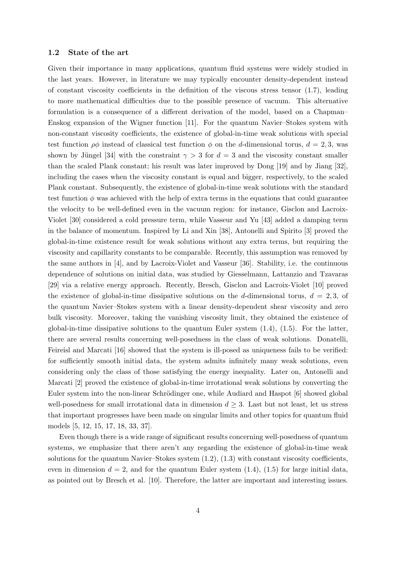#### 1.2 State of the art

Given their importance in many applications, quantum fluid systems were widely studied in the last years. However, in literature we may typically encounter density-dependent instead of constant viscosity coefficients in the definition of the viscous stress tensor  $(1.7)$ , leading to more mathematical difficulties due to the possible presence of vacuum. This alternative formulation is a consequence of a different derivation of the model, based on a Chapman– Enskog expansion of the Wigner function [11]. For the quantum Navier–Stokes system with non-constant viscosity coefficients, the existence of global-in-time weak solutions with special test function  $\rho\phi$  instead of classical test function  $\phi$  on the d-dimensional torus,  $d = 2, 3$ , was shown by Jüngel [34] with the constraint  $\gamma > 3$  for  $d = 3$  and the viscosity constant smaller than the scaled Plank constant; his result was later improved by Dong [19] and by Jiang [32], including the cases when the viscosity constant is equal and bigger, respectively, to the scaled Plank constant. Subsequently, the existence of global-in-time weak solutions with the standard test function  $\phi$  was achieved with the help of extra terms in the equations that could guarantee the velocity to be well-defined even in the vacuum region: for instance, Gisclon and Lacroix-Violet [30] considered a cold pressure term, while Vasseur and Yu [43] added a damping term in the balance of momentum. Inspired by Li and Xin [38], Antonelli and Spirito [3] proved the global-in-time existence result for weak solutions without any extra terms, but requiring the viscosity and capillarity constants to be comparable. Recently, this assumption was removed by the same authors in [4], and by Lacroix-Violet and Vasseur [36]. Stability, i.e. the continuous dependence of solutions on initial data, was studied by Giesselmann, Lattanzio and Tzavaras [29] via a relative energy approach. Recently, Bresch, Gisclon and Lacroix-Violet [10] proved the existence of global-in-time dissipative solutions on the d-dimensional torus,  $d = 2, 3$ , of the quantum Navier–Stokes system with a linear density-dependent shear viscosity and zero bulk viscosity. Moreover, taking the vanishing viscosity limit, they obtained the existence of global-in-time dissipative solutions to the quantum Euler system  $(1.4)$ ,  $(1.5)$ . For the latter, there are several results concerning well-posedness in the class of weak solutions. Donatelli, Feireisl and Marcati [16] showed that the system is ill-posed as uniqueness fails to be verified: for sufficiently smooth initial data, the system admits infinitely many weak solutions, even considering only the class of those satisfying the energy inequality. Later on, Antonelli and Marcati [2] proved the existence of global-in-time irrotational weak solutions by converting the Euler system into the non-linear Schrödinger one, while Audiard and Haspot [6] showed global well-posedness for small irrotational data in dimension  $d \geq 3$ . Last but not least, let us stress that important progresses have been made on singular limits and other topics for quantum fluid models [5, 12, 15, 17, 18, 33, 37].

Even though there is a wide range of significant results concerning well-posedness of quantum systems, we emphasize that there aren't any regarding the existence of global-in-time weak solutions for the quantum Navier–Stokes system  $(1.2)$ ,  $(1.3)$  with constant viscosity coefficients, even in dimension  $d = 2$ , and for the quantum Euler system  $(1.4)$ ,  $(1.5)$  for large initial data, as pointed out by Bresch et al. [10]. Therefore, the latter are important and interesting issues.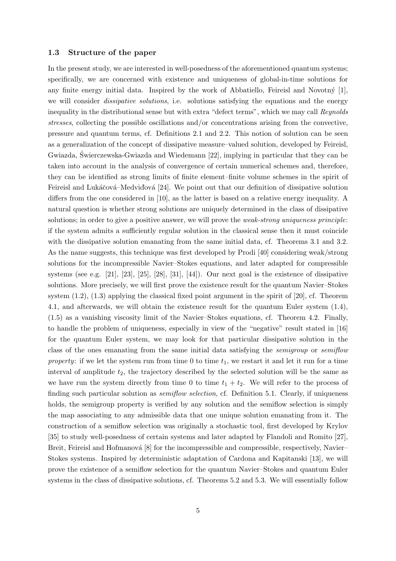#### 1.3 Structure of the paper

In the present study, we are interested in well-posedness of the aforementioned quantum systems; specifically, we are concerned with existence and uniqueness of global-in-time solutions for any finite energy initial data. Inspired by the work of Abbatiello, Feireisl and Novotný  $[1]$ , we will consider *dissipative solutions*, i.e. solutions satisfying the equations and the energy inequality in the distributional sense but with extra "defect terms", which we may call Reynolds stresses, collecting the possible oscillations and/or concentrations arising from the convective, pressure and quantum terms, cf. Definitions 2.1 and 2.2. This notion of solution can be seen as a generalization of the concept of dissipative measure–valued solution, developed by Feireisl, Gwiazda, Swierczewska-Gwiazda and Wiedemann [22], implying in particular that they can be ´ taken into account in the analysis of convergence of certain numerical schemes and, therefore, they can be identified as strong limits of finite element–finite volume schemes in the spirit of Feireisl and Lukáčová–Medvid'ová [24]. We point out that our definition of dissipative solution differs from the one considered in [10], as the latter is based on a relative energy inequality. A natural question is whether strong solutions are uniquely determined in the class of dissipative solutions; in order to give a positive answer, we will prove the weak-strong uniqueness principle: if the system admits a sufficiently regular solution in the classical sense then it must coincide with the dissipative solution emanating from the same initial data, cf. Theorems 3.1 and 3.2. As the name suggests, this technique was first developed by Prodi [40] considering weak/strong solutions for the incompressible Navier–Stokes equations, and later adapted for compressible systems (see e.g. [21], [23], [25], [28], [31], [44]). Our next goal is the existence of dissipative solutions. More precisely, we will first prove the existence result for the quantum Navier–Stokes system (1.2), (1.3) applying the classical fixed point argument in the spirit of [20], cf. Theorem 4.1, and afterwards, we will obtain the existence result for the quantum Euler system (1.4), (1.5) as a vanishing viscosity limit of the Navier–Stokes equations, cf. Theorem 4.2. Finally, to handle the problem of uniqueness, especially in view of the "negative" result stated in [16] for the quantum Euler system, we may look for that particular dissipative solution in the class of the ones emanating from the same initial data satisfying the semigroup or semiflow property: if we let the system run from time 0 to time  $t_1$ , we restart it and let it run for a time interval of amplitude  $t_2$ , the trajectory described by the selected solution will be the same as we have run the system directly from time 0 to time  $t_1 + t_2$ . We will refer to the process of finding such particular solution as *semiflow selection*, cf. Definition 5.1. Clearly, if uniqueness holds, the semigroup property is verified by any solution and the semiflow selection is simply the map associating to any admissible data that one unique solution emanating from it. The construction of a semiflow selection was originally a stochastic tool, first developed by Krylov [35] to study well-posedness of certain systems and later adapted by Flandoli and Romito [27], Breit, Feireisl and Hofmanová [8] for the incompressible and compressible, respectively, Navier– Stokes systems. Inspired by deterministic adaptation of Cardona and Kapitanski [13], we will prove the existence of a semiflow selection for the quantum Navier–Stokes and quantum Euler systems in the class of dissipative solutions, cf. Theorems 5.2 and 5.3. We will essentially follow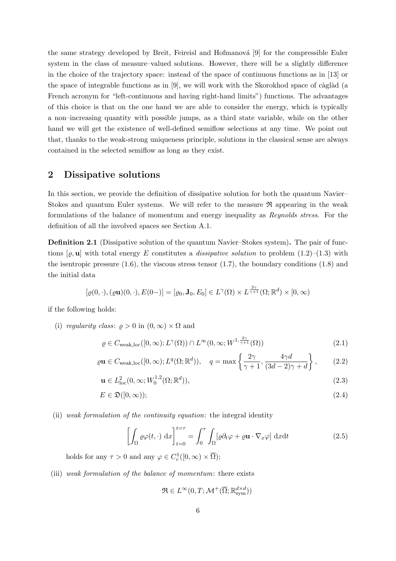the same strategy developed by Breit, Feireisl and Hofmanová [9] for the compressible Euler system in the class of measure–valued solutions. However, there will be a slightly difference in the choice of the trajectory space: instead of the space of continuous functions as in [13] or the space of integrable functions as in  $[9]$ , we will work with the Skorokhod space of càglàd (a French acronym for "left-continuous and having right-hand limits") functions. The advantages of this choice is that on the one hand we are able to consider the energy, which is typically a non–increasing quantity with possible jumps, as a third state variable, while on the other hand we will get the existence of well-defined semiflow selections at any time. We point out that, thanks to the weak-strong uniqueness principle, solutions in the classical sense are always contained in the selected semiflow as long as they exist.

### 2 Dissipative solutions

In this section, we provide the definition of dissipative solution for both the quantum Navier– Stokes and quantum Euler systems. We will refer to the measure  $\Re$  appearing in the weak formulations of the balance of momentum and energy inequality as Reynolds stress. For the definition of all the involved spaces see Section A.1.

Definition 2.1 (Dissipative solution of the quantum Navier–Stokes system). The pair of functions  $[\rho, \mathbf{u}]$  with total energy E constitutes a *dissipative solution* to problem  $(1.2)$ – $(1.3)$  with the isentropic pressure  $(1.6)$ , the viscous stress tensor  $(1.7)$ , the boundary conditions  $(1.8)$  and the initial data

$$
[\varrho(0,\cdot),(\varrho\mathbf{u})(0,\cdot),E(0-)]=[\varrho_0,\mathbf{J}_0,E_0]\in L^{\gamma}(\Omega)\times L^{\frac{2\gamma}{\gamma+1}}(\Omega;\mathbb{R}^d)\times[0,\infty)
$$

if the following holds:

(i) regularity class:  $\rho > 0$  in  $(0, \infty) \times \Omega$  and

$$
\varrho \in C_{\text{weak,loc}}([0,\infty); L^{\gamma}(\Omega)) \cap L^{\infty}(0,\infty; W^{1,\frac{2\gamma}{\gamma+1}}(\Omega))
$$
\n(2.1)

$$
\varrho \mathbf{u} \in C_{\text{weak,loc}}([0,\infty); L^q(\Omega; \mathbb{R}^d)), \quad q = \max\left\{\frac{2\gamma}{\gamma+1}, \frac{4\gamma d}{(3d-2)\gamma+d}\right\},\tag{2.2}
$$

$$
\mathbf{u} \in L_{\text{loc}}^2(0, \infty; W_0^{1,2}(\Omega; \mathbb{R}^d)),\tag{2.3}
$$

$$
E \in \mathfrak{D}([0,\infty));\tag{2.4}
$$

(ii) weak formulation of the continuity equation: the integral identity

$$
\left[\int_{\Omega} \varrho \varphi(t, \cdot) \, \mathrm{d}x\right]_{t=0}^{t=\tau} = \int_{0}^{\tau} \int_{\Omega} [\varrho \partial_t \varphi + \varrho \mathbf{u} \cdot \nabla_x \varphi] \, \mathrm{d}x \mathrm{d}t \tag{2.5}
$$

holds for any  $\tau > 0$  and any  $\varphi \in C_c^1([0,\infty) \times \overline{\Omega});$ 

(iii) weak formulation of the balance of momentum: there exists

$$
\mathfrak{R} \in L^{\infty}(0,T;\mathcal{M}^{+}(\overline{\Omega};\mathbb{R}_\mathrm{sym}^{d \times d}))
$$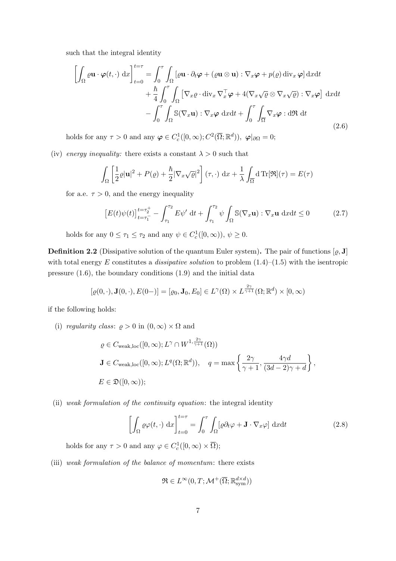such that the integral identity

$$
\left[\int_{\Omega} \varrho \mathbf{u} \cdot \varphi(t, \cdot) \, dx\right]_{t=0}^{t=\tau} = \int_{0}^{\tau} \int_{\Omega} \left[\varrho \mathbf{u} \cdot \partial_{t} \varphi + (\varrho \mathbf{u} \otimes \mathbf{u}) : \nabla_{x} \varphi + p(\varrho) \operatorname{div}_{x} \varphi\right] dx dt + \frac{\hbar}{4} \int_{0}^{\tau} \int_{\Omega} \left[\nabla_{x} \varrho \cdot \operatorname{div}_{x} \nabla_{x}^{\top} \varphi + 4(\nabla_{x} \sqrt{\varrho} \otimes \nabla_{x} \sqrt{\varrho}) : \nabla_{x} \varphi\right] dx dt - \int_{0}^{\tau} \int_{\Omega} \mathbb{S}(\nabla_{x} \mathbf{u}) : \nabla_{x} \varphi \, dx dt + \int_{0}^{\tau} \int_{\overline{\Omega}} \nabla_{x} \varphi : d\Re dt
$$
\n(2.6)

holds for any  $\tau > 0$  and any  $\varphi \in C_c^1([0,\infty); C^2(\overline{\Omega}; \mathbb{R}^d)), \varphi|_{\partial\Omega} = 0;$ 

(iv) energy inequality: there exists a constant  $\lambda > 0$  such that

$$
\int_{\Omega} \left[ \frac{1}{2} \varrho |\mathbf{u}|^2 + P(\varrho) + \frac{\hbar}{2} |\nabla_x \sqrt{\varrho}|^2 \right] (\tau, \cdot) \, \mathrm{d}x + \frac{1}{\lambda} \int_{\overline{\Omega}} \mathrm{d} \operatorname{Tr}[\mathfrak{R}](\tau) = E(\tau)
$$

for a.e.  $\tau > 0$ , and the energy inequality

$$
\left[E(t)\psi(t)\right]_{t=\tau_1^-}^{t=\tau_2^+} - \int_{\tau_1}^{\tau_2} E\psi' \, \mathrm{d}t + \int_{\tau_1}^{\tau_2} \psi \int_{\Omega} \mathbb{S}(\nabla_x \mathbf{u}) : \nabla_x \mathbf{u} \, \mathrm{d}x \mathrm{d}t \le 0 \tag{2.7}
$$

holds for any  $0 \le \tau_1 \le \tau_2$  and any  $\psi \in C_c^1([0,\infty)), \psi \ge 0$ .

**Definition 2.2** (Dissipative solution of the quantum Euler system). The pair of functions  $[\varrho, J]$ with total energy E constitutes a *dissipative solution* to problem  $(1.4)$ – $(1.5)$  with the isentropic pressure (1.6), the boundary conditions (1.9) and the initial data

$$
[\varrho(0,\cdot),\mathbf{J}(0,\cdot),E(0-)] = [\varrho_0,\mathbf{J}_0,E_0] \in L^{\gamma}(\Omega) \times L^{\frac{2\gamma}{\gamma+1}}(\Omega;\mathbb{R}^d) \times [0,\infty)
$$

if the following holds:

(i) regularity class:  $\rho > 0$  in  $(0, \infty) \times \Omega$  and

$$
\varrho \in C_{\text{weak,loc}}([0,\infty); L^{\gamma} \cap W^{1,\frac{2\gamma}{\gamma+1}}(\Omega))
$$
  
\n**J**  $\in C_{\text{weak,loc}}([0,\infty); L^{q}(\Omega; \mathbb{R}^{d})), \quad q = \max\left\{\frac{2\gamma}{\gamma+1}, \frac{4\gamma d}{(3d-2)\gamma+d}\right\},\$   
\n $E \in \mathfrak{D}([0,\infty));$ 

(ii) weak formulation of the continuity equation: the integral identity

$$
\left[\int_{\Omega} \varrho \varphi(t, \cdot) \, \mathrm{d}x\right]_{t=0}^{t=\tau} = \int_{0}^{\tau} \int_{\Omega} [\varrho \partial_t \varphi + \mathbf{J} \cdot \nabla_x \varphi] \, \mathrm{d}x \mathrm{d}t \tag{2.8}
$$

holds for any  $\tau > 0$  and any  $\varphi \in C_c^1([0,\infty) \times \overline{\Omega});$ 

(iii) weak formulation of the balance of momentum: there exists

$$
\mathfrak{R} \in L^\infty(0,T;\mathcal{M}^+(\overline{\Omega};\mathbb{R}_\mathrm{sym}^{d \times d}))
$$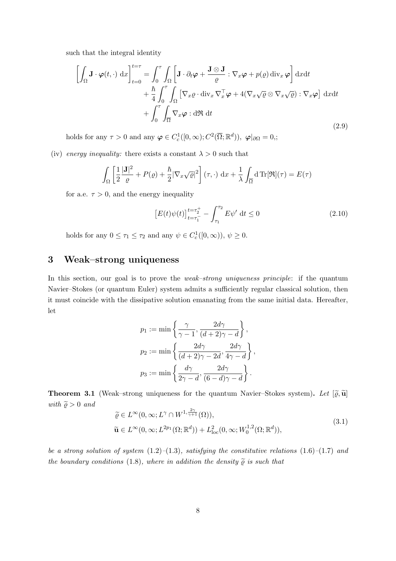such that the integral identity

$$
\left[\int_{\Omega} \mathbf{J} \cdot \boldsymbol{\varphi}(t, \cdot) \, dx\right]_{t=0}^{t=\tau} = \int_{0}^{\tau} \int_{\Omega} \left[ \mathbf{J} \cdot \partial_{t} \boldsymbol{\varphi} + \frac{\mathbf{J} \otimes \mathbf{J}}{\varrho} : \nabla_{x} \boldsymbol{\varphi} + p(\varrho) \operatorname{div}_{x} \boldsymbol{\varphi} \right] dx dt + \frac{\hbar}{4} \int_{0}^{\tau} \int_{\Omega} \left[ \nabla_{x} \varrho \cdot \operatorname{div}_{x} \nabla_{x}^{\top} \boldsymbol{\varphi} + 4(\nabla_{x} \sqrt{\varrho} \otimes \nabla_{x} \sqrt{\varrho}) : \nabla_{x} \boldsymbol{\varphi} \right] dx dt + \int_{0}^{\tau} \int_{\overline{\Omega}} \nabla_{x} \boldsymbol{\varphi} : d\Re dt
$$
\n(2.9)

holds for any  $\tau > 0$  and any  $\varphi \in C_c^1([0,\infty); C^2(\overline{\Omega}; \mathbb{R}^d)), \varphi|_{\partial \Omega} = 0,$ ;

(iv) energy inequality: there exists a constant  $\lambda > 0$  such that

$$
\int_{\Omega} \left[ \frac{1}{2} \frac{|\mathbf{J}|^2}{\varrho} + P(\varrho) + \frac{\hbar}{2} |\nabla_x \sqrt{\varrho}|^2 \right] (\tau, \cdot) \, \mathrm{d}x + \frac{1}{\lambda} \int_{\overline{\Omega}} \mathrm{d} \, \mathrm{Tr}[\mathfrak{R}](\tau) = E(\tau)
$$

for a.e.  $\tau > 0$ , and the energy inequality

$$
\left[E(t)\psi(t)\right]_{t=\tau_1^-}^{t=\tau_2^+} - \int_{\tau_1}^{\tau_2} E\psi' \, \mathrm{d}t \le 0 \tag{2.10}
$$

holds for any  $0 \leq \tau_1 \leq \tau_2$  and any  $\psi \in C_c^1([0,\infty)), \psi \geq 0$ .

## 3 Weak–strong uniqueness

In this section, our goal is to prove the *weak–strong uniqueness principle*: if the quantum Navier–Stokes (or quantum Euler) system admits a sufficiently regular classical solution, then it must coincide with the dissipative solution emanating from the same initial data. Hereafter, let

$$
p_1 := \min \left\{ \frac{\gamma}{\gamma - 1}, \frac{2d\gamma}{(d+2)\gamma - d} \right\},
$$
  

$$
p_2 := \min \left\{ \frac{2d\gamma}{(d+2)\gamma - 2d}, \frac{2d\gamma}{4\gamma - d} \right\},
$$
  

$$
p_3 := \min \left\{ \frac{d\gamma}{2\gamma - d}, \frac{2d\gamma}{(6-d)\gamma - d} \right\}.
$$

**Theorem 3.1** (Weak–strong uniqueness for the quantum Navier–Stokes system). Let  $[\tilde{\varrho}, \tilde{\mathbf{u}}]$ with  $\widetilde{\rho} > 0$  and

$$
\widetilde{\varrho} \in L^{\infty}(0,\infty; L^{\gamma} \cap W^{1,\frac{2\gamma}{\gamma+1}}(\Omega)),\n\widetilde{\mathbf{u}} \in L^{\infty}(0,\infty; L^{2p_1}(\Omega; \mathbb{R}^d)) + L^2_{\text{loc}}(0,\infty; W_0^{1,2}(\Omega; \mathbb{R}^d)),
$$
\n(3.1)

be a strong solution of system  $(1.2)$ – $(1.3)$ , satisfying the constitutive relations  $(1.6)$ – $(1.7)$  and the boundary conditions (1.8), where in addition the density  $\tilde{\varrho}$  is such that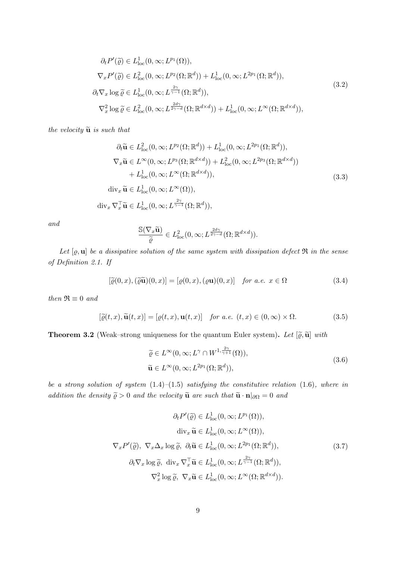$$
\partial_t P'(\tilde{\varrho}) \in L^1_{loc}(0,\infty; L^{p_1}(\Omega)),
$$
  
\n
$$
\nabla_x P'(\tilde{\varrho}) \in L^2_{loc}(0,\infty; L^{p_2}(\Omega; \mathbb{R}^d)) + L^1_{loc}(0,\infty; L^{2p_1}(\Omega; \mathbb{R}^d)),
$$
  
\n
$$
\partial_t \nabla_x \log \tilde{\varrho} \in L^1_{loc}(0,\infty; L^{\frac{2\gamma}{\gamma-1}}(\Omega; \mathbb{R}^d)),
$$
  
\n
$$
\nabla_x^2 \log \tilde{\varrho} \in L^2_{loc}(0,\infty; L^{\frac{2d\gamma}{2\gamma-d}}(\Omega; \mathbb{R}^{d \times d})) + L^1_{loc}(0,\infty; L^{\infty}(\Omega; \mathbb{R}^{d \times d})),
$$
\n(3.2)

the velocity  $\widetilde{\mathbf{u}}$  is such that

$$
\partial_t \widetilde{\mathbf{u}} \in L^2_{\text{loc}}(0, \infty; L^{p_2}(\Omega; \mathbb{R}^d)) + L^1_{\text{loc}}(0, \infty; L^{2p_1}(\Omega; \mathbb{R}^d)),
$$
  
\n
$$
\nabla_x \widetilde{\mathbf{u}} \in L^{\infty}(0, \infty; L^{p_3}(\Omega; \mathbb{R}^{d \times d})) + L^2_{\text{loc}}(0, \infty; L^{2p_3}(\Omega; \mathbb{R}^{d \times d}))
$$
  
\n
$$
+ L^1_{\text{loc}}(0, \infty; L^{\infty}(\Omega; \mathbb{R}^{d \times d})),
$$
  
\n
$$
\text{div}_x \widetilde{\mathbf{u}} \in L^1_{\text{loc}}(0, \infty; L^{\infty}(\Omega)),
$$
  
\n
$$
\text{div}_x \nabla_x^{\top} \widetilde{\mathbf{u}} \in L^1_{\text{loc}}(0, \infty; L^{\frac{2\gamma}{\gamma - 1}}(\Omega; \mathbb{R}^d)),
$$
\n(3.3)

and

$$
\frac{\mathbb{S}(\nabla_x \widetilde{\mathbf{u}})}{\widetilde{\varrho}} \in L^2_{\text{loc}}(0,\infty; L^{\frac{2d\gamma}{2\gamma-d}}(\Omega;\mathbb{R}^{d \times d})).
$$

Let  $[\varrho, \mathbf{u}]$  be a dissipative solution of the same system with dissipation defect  $\mathfrak{R}$  in the sense of Definition 2.1. If

$$
[\tilde{\varrho}(0,x),(\tilde{\varrho}\tilde{\mathbf{u}})(0,x)] = [\varrho(0,x),(\varrho\mathbf{u})(0,x)] \quad \text{for a.e. } x \in \Omega \tag{3.4}
$$

then  $\Re \equiv 0$  and

$$
[\tilde{\varrho}(t,x), \tilde{\mathbf{u}}(t,x)] = [\varrho(t,x), \mathbf{u}(t,x)] \quad \text{for a.e. } (t,x) \in (0,\infty) \times \Omega. \tag{3.5}
$$

**Theorem 3.2** (Weak–strong uniqueness for the quantum Euler system). Let  $[\tilde{\varrho}, \tilde{\mathbf{u}}]$  with

$$
\widetilde{\varrho} \in L^{\infty}(0, \infty; L^{\gamma} \cap W^{1, \frac{2\gamma}{\gamma+1}}(\Omega)), \n\widetilde{\mathbf{u}} \in L^{\infty}(0, \infty; L^{2p_1}(\Omega; \mathbb{R}^d)),
$$
\n(3.6)

be a strong solution of system  $(1.4)$ – $(1.5)$  satisfying the constitutive relation  $(1.6)$ , where in addition the density  $\tilde{\varrho} > 0$  and the velocity  $\tilde{\mathbf{u}}$  are such that  $\tilde{\mathbf{u}} \cdot \mathbf{n}|_{\partial\Omega} = 0$  and

$$
\partial_t P'(\tilde{\varrho}) \in L^1_{loc}(0,\infty; L^{p_1}(\Omega)),
$$
  
\n
$$
\operatorname{div}_x \tilde{\mathbf{u}} \in L^1_{loc}(0,\infty; L^{\infty}(\Omega)),
$$
  
\n
$$
\nabla_x P'(\tilde{\varrho}), \ \nabla_x \Delta_x \log \tilde{\varrho}, \ \partial_t \tilde{\mathbf{u}} \in L^1_{loc}(0,\infty; L^{2p_1}(\Omega; \mathbb{R}^d)),
$$
  
\n
$$
\partial_t \nabla_x \log \tilde{\varrho}, \ \operatorname{div}_x \nabla_x^{\top} \tilde{\mathbf{u}} \in L^1_{loc}(0,\infty; L^{\frac{2\gamma}{\gamma-1}}(\Omega; \mathbb{R}^d)),
$$
  
\n
$$
\nabla_x^2 \log \tilde{\varrho}, \ \nabla_x \tilde{\mathbf{u}} \in L^1_{loc}(0,\infty; L^{\infty}(\Omega; \mathbb{R}^{d \times d})).
$$
\n(3.7)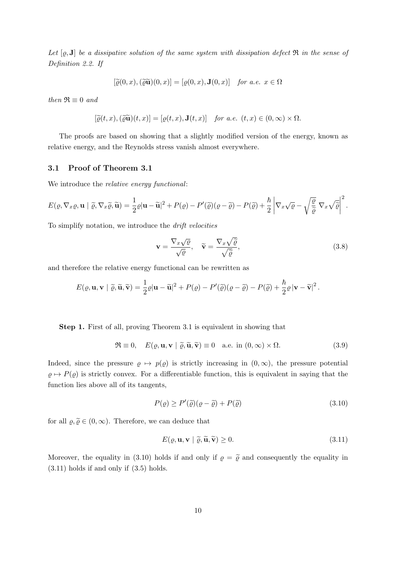Let  $[\varrho, \mathbf{J}]$  be a dissipative solution of the same system with dissipation defect  $\mathfrak{R}$  in the sense of Definition 2.2. If

$$
[\widetilde{\varrho}(0,x), (\widetilde{\varrho}\widetilde{\mathbf{u}})(0,x)] = [\varrho(0,x), \mathbf{J}(0,x)] \quad \text{for a.e. } x \in \Omega
$$

then  $\Re \equiv 0$  and

$$
[\widetilde{\varrho}(t,x),(\widetilde{\varrho}\widetilde{\mathbf{u}})(t,x)]=[\varrho(t,x),\mathbf{J}(t,x)] \quad \text{for a.e. } (t,x)\in(0,\infty)\times\Omega.
$$

The proofs are based on showing that a slightly modified version of the energy, known as relative energy, and the Reynolds stress vanish almost everywhere.

#### 3.1 Proof of Theorem 3.1

We introduce the *relative energy functional*:

$$
E(\varrho, \nabla_x \varrho, \mathbf{u} \mid \widetilde{\varrho}, \nabla_x \widetilde{\varrho}, \widetilde{\mathbf{u}}) = \frac{1}{2} \varrho |\mathbf{u} - \widetilde{\mathbf{u}}|^2 + P(\varrho) - P'(\widetilde{\varrho}) (\varrho - \widetilde{\varrho}) - P(\widetilde{\varrho}) + \frac{\hbar}{2} \left| \nabla_x \sqrt{\varrho} - \sqrt{\frac{\varrho}{\widetilde{\varrho}}} \nabla_x \sqrt{\widetilde{\varrho}} \right|^2.
$$

To simplify notation, we introduce the drift velocities

$$
\mathbf{v} = \frac{\nabla_x \sqrt{\varrho}}{\sqrt{\varrho}}, \quad \widetilde{\mathbf{v}} = \frac{\nabla_x \sqrt{\widetilde{\varrho}}}{\sqrt{\widetilde{\varrho}}},
$$
(3.8)

and therefore the relative energy functional can be rewritten as

$$
E(\varrho, \mathbf{u}, \mathbf{v} \boldsymbol{\mid} \widetilde{\varrho}, \widetilde{\mathbf{u}}, \widetilde{\mathbf{v}}) = \frac{1}{2}\varrho |\mathbf{u} - \widetilde{\mathbf{u}}|^2 + P(\varrho) - P'(\widetilde{\varrho})(\varrho - \widetilde{\varrho}) - P(\widetilde{\varrho}) + \frac{\hbar}{2}\varrho |\mathbf{v} - \widetilde{\mathbf{v}}|^2.
$$

Step 1. First of all, proving Theorem 3.1 is equivalent in showing that

$$
\mathfrak{R} \equiv 0, \quad E(\varrho, \mathbf{u}, \mathbf{v} \mid \widetilde{\varrho}, \widetilde{\mathbf{u}}, \widetilde{\mathbf{v}}) \equiv 0 \quad \text{a.e. in } (0, \infty) \times \Omega. \tag{3.9}
$$

Indeed, since the pressure  $\rho \mapsto p(\rho)$  is strictly increasing in  $(0, \infty)$ , the pressure potential  $\rho \mapsto P(\rho)$  is strictly convex. For a differentiable function, this is equivalent in saying that the function lies above all of its tangents,

$$
P(\varrho) \ge P'(\tilde{\varrho})(\varrho - \tilde{\varrho}) + P(\tilde{\varrho})\tag{3.10}
$$

for all  $\varrho, \tilde{\varrho} \in (0, \infty)$ . Therefore, we can deduce that

$$
E(\varrho, \mathbf{u}, \mathbf{v} \mid \widetilde{\varrho}, \widetilde{\mathbf{u}}, \widetilde{\mathbf{v}}) \ge 0. \tag{3.11}
$$

Moreover, the equality in (3.10) holds if and only if  $\rho = \tilde{\varrho}$  and consequently the equality in (3.11) holds if and only if (3.5) holds.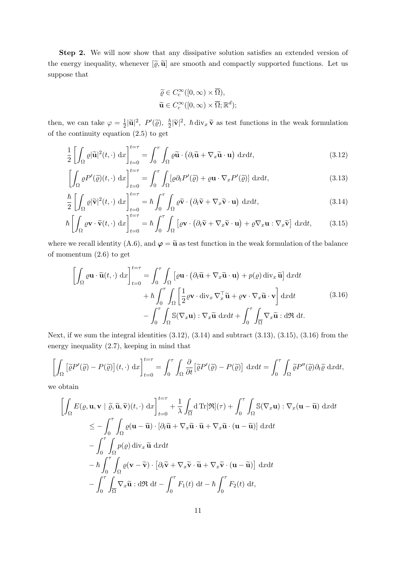Step 2. We will now show that any dissipative solution satisfies an extended version of the energy inequality, whenever  $[\tilde{\varrho}, \tilde{\mathbf{u}}]$  are smooth and compactly supported functions. Let us suppose that

$$
\widetilde{\varrho} \in C_c^{\infty}([0, \infty) \times \overline{\Omega}),
$$
  

$$
\widetilde{\mathbf{u}} \in C_c^{\infty}([0, \infty) \times \overline{\Omega}; \mathbb{R}^d);
$$

then, we can take  $\varphi = \frac{1}{2}$  $\frac{1}{2}|\widetilde{\mathbf{u}}|^2$ ,  $P'(\widetilde{\varrho})$ ,  $\frac{\hbar}{2}$  $\frac{\hbar}{2}|\tilde{\mathbf{v}}|^2$ ,  $\hbar \, \text{div}_x \, \tilde{\mathbf{v}}$  as test functions in the weak formulation of the continuity equation (2.5) to get

$$
\frac{1}{2} \left[ \int_{\Omega} \varrho |\widetilde{\mathbf{u}}|^2(t, \cdot) \, \mathrm{d}x \right]_{t=0}^{t=\tau} = \int_0^{\tau} \int_{\Omega} \varrho \widetilde{\mathbf{u}} \cdot \left( \partial_t \widetilde{\mathbf{u}} + \nabla_x \widetilde{\mathbf{u}} \cdot \mathbf{u} \right) \, \mathrm{d}x \mathrm{d}t,\tag{3.12}
$$

$$
\left[\int_{\Omega} \varrho P'(\tilde{\varrho})(t,\cdot) \, \mathrm{d}x\right]_{t=0}^{t=\tau} = \int_{0}^{\tau} \int_{\Omega} [\varrho \partial_{t} P'(\tilde{\varrho}) + \varrho \mathbf{u} \cdot \nabla_{x} P'(\tilde{\varrho})] \, \mathrm{d}x \mathrm{d}t,\tag{3.13}
$$

$$
\frac{\hbar}{2} \left[ \int_{\Omega} \varrho |\widetilde{\mathbf{v}}|^2(t, \cdot) \, \mathrm{d}x \right]_{t=0}^{t=\tau} = \hbar \int_0^{\tau} \int_{\Omega} \varrho \widetilde{\mathbf{v}} \cdot \left( \partial_t \widetilde{\mathbf{v}} + \nabla_x \widetilde{\mathbf{v}} \cdot \mathbf{u} \right) \, \mathrm{d}x \mathrm{d}t,\tag{3.14}
$$

$$
\hbar \left[ \int_{\Omega} \varrho \mathbf{v} \cdot \widetilde{\mathbf{v}}(t, \cdot) \, \mathrm{d}x \right]_{t=0}^{t=\tau} = \hbar \int_{0}^{\tau} \int_{\Omega} \left[ \varrho \mathbf{v} \cdot \left( \partial_{t} \widetilde{\mathbf{v}} + \nabla_{x} \widetilde{\mathbf{v}} \cdot \mathbf{u} \right) + \varrho \nabla_{x} \mathbf{u} : \nabla_{x} \widetilde{\mathbf{v}} \right] \, \mathrm{d}x \mathrm{d}t, \tag{3.15}
$$

where we recall identity (A.6), and  $\varphi = \tilde{u}$  as test function in the weak formulation of the balance of momentum (2.6) to get

$$
\left[\int_{\Omega} \varrho \mathbf{u} \cdot \tilde{\mathbf{u}}(t, \cdot) \, dx\right]_{t=0}^{t=\tau} = \int_{0}^{\tau} \int_{\Omega} \left[\varrho \mathbf{u} \cdot \left(\partial_{t} \tilde{\mathbf{u}} + \nabla_{x} \tilde{\mathbf{u}} \cdot \mathbf{u}\right) + p(\varrho) \operatorname{div}_{x} \tilde{\mathbf{u}}\right] \operatorname{d}x \mathrm{d}t + \hbar \int_{0}^{\tau} \int_{\Omega} \left[\frac{1}{2} \varrho \mathbf{v} \cdot \operatorname{div}_{x} \nabla_{x}^{\top} \tilde{\mathbf{u}} + \varrho \mathbf{v} \cdot \nabla_{x} \tilde{\mathbf{u}} \cdot \mathbf{v}\right] \operatorname{d}x \mathrm{d}t - \int_{0}^{\tau} \int_{\Omega} \mathbb{S}(\nabla_{x} \mathbf{u}) : \nabla_{x} \tilde{\mathbf{u}} \operatorname{d}x \mathrm{d}t + \int_{0}^{\tau} \int_{\overline{\Omega}} \nabla_{x} \tilde{\mathbf{u}} : \operatorname{d} \Re \operatorname{d}t.
$$
\n(3.16)

Next, if we sum the integral identities  $(3.12)$ ,  $(3.14)$  and subtract  $(3.13)$ ,  $(3.15)$ ,  $(3.16)$  from the energy inequality (2.7), keeping in mind that

$$
\left[\int_{\Omega} \left[\tilde{\varrho}P'(\tilde{\varrho}) - P(\tilde{\varrho})\right](t,\cdot) \, \mathrm{d}x\right]_{t=0}^{t=\tau} = \int_{0}^{\tau} \int_{\Omega} \frac{\partial}{\partial t} \left[\tilde{\varrho}P'(\tilde{\varrho}) - P(\tilde{\varrho})\right] \, \mathrm{d}x \mathrm{d}t = \int_{0}^{\tau} \int_{\Omega} \tilde{\varrho}P''(\tilde{\varrho}) \partial_{t}\tilde{\varrho} \, \mathrm{d}x \mathrm{d}t,
$$

we obtain

$$
\begin{split}\n&\left[\int_{\Omega} E(\varrho, \mathbf{u}, \mathbf{v} \mid \widetilde{\varrho}, \widetilde{\mathbf{u}}, \widetilde{\mathbf{v}})(t, \cdot) \, dx\right]_{t=0}^{t=\tau} + \frac{1}{\lambda} \int_{\overline{\Omega}} d \operatorname{Tr}[\mathfrak{R}](\tau) + \int_{0}^{\tau} \int_{\Omega} \mathbb{S}(\nabla_{x} \mathbf{u}) : \nabla_{x} (\mathbf{u} - \widetilde{\mathbf{u}}) \, dx dt \\
&\leq - \int_{0}^{\tau} \int_{\Omega} \varrho(\mathbf{u} - \widetilde{\mathbf{u}}) \cdot [\partial_{t} \widetilde{\mathbf{u}} + \nabla_{x} \widetilde{\mathbf{u}} \cdot \widetilde{\mathbf{u}} + \nabla_{x} \widetilde{\mathbf{u}} \cdot (\mathbf{u} - \widetilde{\mathbf{u}})] \, dx dt \\
&- \int_{0}^{\tau} \int_{\Omega} \varrho(\varrho) \operatorname{div}_{x} \widetilde{\mathbf{u}} \, dx dt \\
&- \hbar \int_{0}^{\tau} \int_{\Omega} \varrho(\mathbf{v} - \widetilde{\mathbf{v}}) \cdot [\partial_{t} \widetilde{\mathbf{v}} + \nabla_{x} \widetilde{\mathbf{v}} \cdot \widetilde{\mathbf{u}} + \nabla_{x} \widetilde{\mathbf{v}} \cdot (\mathbf{u} - \widetilde{\mathbf{u}})] \, dx dt \\
&- \int_{0}^{\tau} \int_{\Omega} \nabla_{x} \widetilde{\mathbf{u}} : d \mathfrak{R} \, dt - \int_{0}^{\tau} F_{1}(t) \, dt - \hbar \int_{0}^{\tau} F_{2}(t) \, dt,\n\end{split}
$$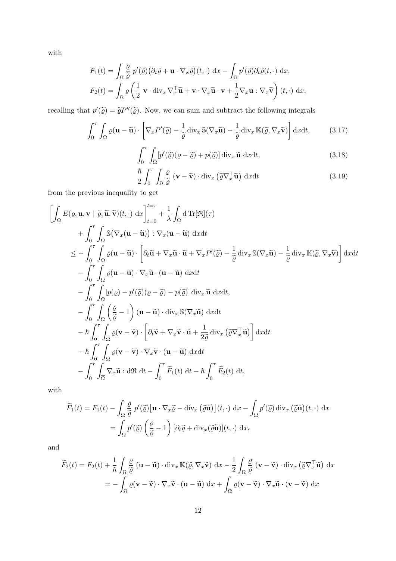with

$$
F_1(t) = \int_{\Omega} \frac{\rho}{\tilde{\varrho}} p'(\tilde{\varrho}) (\partial_t \tilde{\varrho} + \mathbf{u} \cdot \nabla_x \tilde{\varrho}) (t, \cdot) \, dx - \int_{\Omega} p'(\tilde{\varrho}) \partial_t \tilde{\varrho} (t, \cdot) \, dx,
$$
  

$$
F_2(t) = \int_{\Omega} \varrho \left( \frac{1}{2} \mathbf{v} \cdot \text{div}_x \nabla_x^{\top} \tilde{\mathbf{u}} + \mathbf{v} \cdot \nabla_x \tilde{\mathbf{u}} \cdot \mathbf{v} + \frac{1}{2} \nabla_x \mathbf{u} : \nabla_x \tilde{\mathbf{v}} \right) (t, \cdot) \, dx,
$$

recalling that  $p'(\tilde{\varrho}) = \tilde{\varrho}P''(\tilde{\varrho})$ . Now, we can sum and subtract the following integrals

$$
\int_0^{\tau} \int_{\Omega} \varrho(\mathbf{u} - \widetilde{\mathbf{u}}) \cdot \left[ \nabla_x P'(\widetilde{\varrho}) - \frac{1}{\widetilde{\varrho}} \operatorname{div}_x \mathbb{S}(\nabla_x \widetilde{\mathbf{u}}) - \frac{1}{\widetilde{\varrho}} \operatorname{div}_x \mathbb{K}(\widetilde{\varrho}, \nabla_x \widetilde{\mathbf{v}}) \right] dx dt, \tag{3.17}
$$

$$
\int_0^{\tau} \int_{\Omega} \left[ p'(\tilde{\varrho}) (\varrho - \tilde{\varrho}) + p(\tilde{\varrho}) \right] \operatorname{div}_x \tilde{\mathbf{u}} \, \operatorname{d}x \mathrm{d}t,\tag{3.18}
$$

$$
\frac{\hbar}{2} \int_0^\tau \int_{\Omega} \frac{\varrho}{\tilde{\varrho}} \left( \mathbf{v} - \tilde{\mathbf{v}} \right) \cdot \text{div}_x \left( \tilde{\varrho} \nabla_x^\top \tilde{\mathbf{u}} \right) \, \mathrm{d}x \mathrm{d}t \tag{3.19}
$$

from the previous inequality to get

$$
\begin{split}\n&\left[\int_{\Omega} E(\varrho, \mathbf{u}, \mathbf{v} \mid \widetilde{\varrho}, \widetilde{\mathbf{u}}, \widetilde{\mathbf{v}})(t, \cdot) \, dx\right]_{t=0}^{t=\tau} + \frac{1}{\lambda} \int_{\overline{\Omega}} d \operatorname{Tr}[\mathfrak{R}](\tau) \\
&+ \int_{0}^{\tau} \int_{\Omega} \mathbb{S}(\nabla_{x}(\mathbf{u} - \widetilde{\mathbf{u}})) : \nabla_{x}(\mathbf{u} - \widetilde{\mathbf{u}}) \, dx dt \\
&\leq - \int_{0}^{\tau} \int_{\Omega} \varrho(\mathbf{u} - \widetilde{\mathbf{u}}) \cdot \left[\partial_{t} \widetilde{\mathbf{u}} + \nabla_{x} \widetilde{\mathbf{u}} \cdot \widetilde{\mathbf{u}} + \nabla_{x} P'(\widetilde{\varrho}) - \frac{1}{\widetilde{\varrho}} \operatorname{div}_{x} \mathbb{S}(\nabla_{x} \widetilde{\mathbf{u}}) - \frac{1}{\widetilde{\varrho}} \operatorname{div}_{x} \mathbb{K}(\widetilde{\varrho}, \nabla_{x} \widetilde{\mathbf{v}})\right] dx dt \\
&- \int_{0}^{\tau} \int_{\Omega} \varrho(\mathbf{u} - \widetilde{\mathbf{u}}) \cdot \nabla_{x} \widetilde{\mathbf{u}} \cdot (\mathbf{u} - \widetilde{\mathbf{u}}) \, dx dt \\
&- \int_{0}^{\tau} \int_{\Omega} \left[\varrho(\varrho) - p'(\widetilde{\varrho})(\varrho - \widetilde{\varrho}) - p(\widetilde{\varrho})\right] \operatorname{div}_{x} \widetilde{\mathbf{u}} \, dx dt, \\
&- \int_{0}^{\tau} \int_{\Omega} \left(\frac{\varrho}{\widetilde{\varrho}} - 1\right) (\mathbf{u} - \widetilde{\mathbf{u}}) \cdot \operatorname{div}_{x} \mathbb{S}(\nabla_{x} \widetilde{\mathbf{u}}) \, dx dt \\
&- \hbar \int_{0}^{\tau} \int_{\Omega} \varrho(\mathbf{v} - \widetilde{\mathbf{v}}) \cdot \left[\partial_{t} \widetilde{\mathbf{v}} + \nabla_{x} \widetilde{\mathbf{v}} \cdot \widet
$$

with

$$
\widetilde{F}_1(t) = F_1(t) - \int_{\Omega} \frac{\varrho}{\widetilde{\varrho}} p'(\widetilde{\varrho}) \left[ \mathbf{u} \cdot \nabla_x \widetilde{\varrho} - \text{div}_x \left( \widetilde{\varrho} \widetilde{\mathbf{u}} \right) \right](t, \cdot) \, \mathrm{d}x - \int_{\Omega} p'(\widetilde{\varrho}) \, \text{div}_x \left( \widetilde{\varrho} \widetilde{\mathbf{u}} \right)(t, \cdot) \, \mathrm{d}x
$$
\n
$$
= \int_{\Omega} p'(\widetilde{\varrho}) \left( \frac{\varrho}{\widetilde{\varrho}} - 1 \right) \left[ \partial_t \widetilde{\varrho} + \text{div}_x(\widetilde{\varrho} \widetilde{\mathbf{u}}) \right](t, \cdot) \, \mathrm{d}x,
$$

and

$$
\widetilde{F}_2(t) = F_2(t) + \frac{1}{\hbar} \int_{\Omega} \frac{\varrho}{\widetilde{\varrho}} \left( \mathbf{u} - \widetilde{\mathbf{u}} \right) \cdot \operatorname{div}_x \mathbb{K}(\widetilde{\varrho}, \nabla_x \widetilde{\mathbf{v}}) \, \mathrm{d}x - \frac{1}{2} \int_{\Omega} \frac{\varrho}{\widetilde{\varrho}} \left( \mathbf{v} - \widetilde{\mathbf{v}} \right) \cdot \operatorname{div}_x \left( \widetilde{\varrho} \nabla_x^{\top} \widetilde{\mathbf{u}} \right) \, \mathrm{d}x
$$
\n
$$
= - \int_{\Omega} \varrho(\mathbf{v} - \widetilde{\mathbf{v}}) \cdot \nabla_x \widetilde{\mathbf{v}} \cdot (\mathbf{u} - \widetilde{\mathbf{u}}) \, \mathrm{d}x + \int_{\Omega} \varrho(\mathbf{v} - \widetilde{\mathbf{v}}) \cdot \nabla_x \widetilde{\mathbf{u}} \cdot (\mathbf{v} - \widetilde{\mathbf{v}}) \, \mathrm{d}x
$$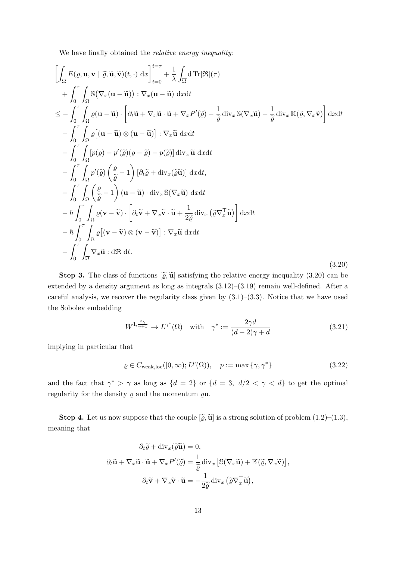We have finally obtained the *relative energy inequality*:

$$
\left[\int_{\Omega} E(\varrho, \mathbf{u}, \mathbf{v} \mid \tilde{\varrho}, \tilde{\mathbf{u}}, \tilde{\mathbf{v}})(t, \cdot) dx\right]_{t=0}^{t=\tau} + \frac{1}{\lambda} \int_{\overline{\Omega}} d \operatorname{Tr}[\Re](\tau) \n+ \int_{0}^{\tau} \int_{\Omega} \mathbb{S}(\nabla_x (\mathbf{u} - \tilde{\mathbf{u}})) : \nabla_x (\mathbf{u} - \tilde{\mathbf{u}}) dx dt \n\leq - \int_{0}^{\tau} \int_{\Omega} \varrho(\mathbf{u} - \tilde{\mathbf{u}}) \cdot \left[\partial_t \tilde{\mathbf{u}} + \nabla_x \tilde{\mathbf{u}} \cdot \tilde{\mathbf{u}} + \nabla_x P'(\tilde{\varrho}) - \frac{1}{\tilde{\varrho}} \operatorname{div}_x \mathbb{S}(\nabla_x \tilde{\mathbf{u}}) - \frac{1}{\tilde{\varrho}} \operatorname{div}_x \mathbb{K}(\tilde{\varrho}, \nabla_x \tilde{\mathbf{v}})\right] dx dt \n- \int_{0}^{\tau} \int_{\Omega} \varrho[(\mathbf{u} - \tilde{\mathbf{u}}) \otimes (\mathbf{u} - \tilde{\mathbf{u}})] : \nabla_x \tilde{\mathbf{u}} dx dt \n- \int_{0}^{\tau} \int_{\Omega} \varrho(\varrho) - p'(\tilde{\varrho})(\varrho - \tilde{\varrho}) - p(\tilde{\varrho})] d\mathbf{v}_x \tilde{\mathbf{u}} dx dt \n- \int_{0}^{\tau} \int_{\Omega} p'(\tilde{\varrho}) \left(\frac{\varrho}{\tilde{\varrho}} - 1\right) [\partial_t \tilde{\varrho} + \operatorname{div}_x(\tilde{\varrho} \tilde{\mathbf{u}})] dx dt \n- \int_{0}^{\tau} \int_{\Omega} \left(\frac{\varrho}{\tilde{\varrho}} - 1\right) (\mathbf{u} - \tilde{\mathbf{u}}) \cdot d\mathbf{v}_x \mathbb{S}(\nabla_x \tilde{\mathbf{u}}) dx dt \n- \frac{\hbar}{\int_{0}^{\tau} \int_{\Omega} \varrho[(\mathbf{v} - \tilde{\mathbf{v}}) \cdot \left[\partial_t \tilde{\
$$

**Step 3.** The class of functions  $\left[\tilde{\varrho}, \tilde{\mathbf{u}}\right]$  satisfying the relative energy inequality (3.20) can be extended by a density argument as long as integrals (3.12)–(3.19) remain well-defined. After a careful analysis, we recover the regularity class given by  $(3.1)$ – $(3.3)$ . Notice that we have used the Sobolev embedding

$$
W^{1, \frac{2\gamma}{\gamma+1}} \hookrightarrow L^{\gamma^*}(\Omega) \quad \text{with} \quad \gamma^* := \frac{2\gamma d}{(d-2)\gamma + d} \tag{3.21}
$$

implying in particular that

$$
\varrho \in C_{\text{weak,loc}}([0,\infty); L^p(\Omega)), \quad p := \max\{\gamma, \gamma^*\} \tag{3.22}
$$

and the fact that  $\gamma^* > \gamma$  as long as  $\{d = 2\}$  or  $\{d = 3, d/2 < \gamma < d\}$  to get the optimal regularity for the density  $\rho$  and the momentum  $\rho$ **u**.

**Step 4.** Let us now suppose that the couple  $[\tilde{\varrho}, \tilde{\mathbf{u}}]$  is a strong solution of problem  $(1.2)$ – $(1.3)$ , meaning that

$$
\partial_t \widetilde{\mathbf{u}} + \mathrm{div}_x(\widetilde{\varrho} \widetilde{\mathbf{u}}) = 0,
$$
  

$$
\partial_t \widetilde{\mathbf{u}} + \nabla_x \widetilde{\mathbf{u}} \cdot \widetilde{\mathbf{u}} + \nabla_x P'(\widetilde{\varrho}) = \frac{1}{\widetilde{\varrho}} \mathrm{div}_x \left[ \mathbb{S}(\nabla_x \widetilde{\mathbf{u}}) + \mathbb{K}(\widetilde{\varrho}, \nabla_x \widetilde{\mathbf{v}}) \right],
$$
  

$$
\partial_t \widetilde{\mathbf{v}} + \nabla_x \widetilde{\mathbf{v}} \cdot \widetilde{\mathbf{u}} = -\frac{1}{2\widetilde{\varrho}} \mathrm{div}_x \left( \widetilde{\varrho} \nabla_x^\top \widetilde{\mathbf{u}} \right),
$$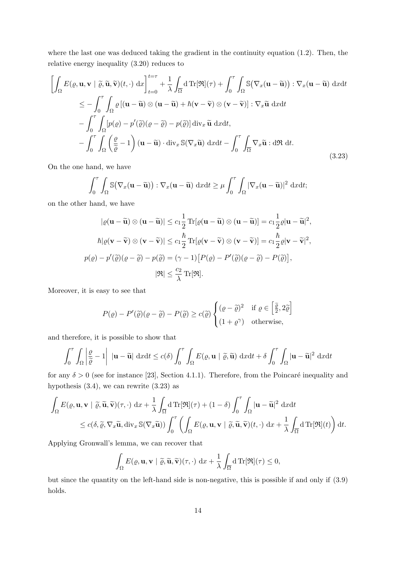where the last one was deduced taking the gradient in the continuity equation (1.2). Then, the relative energy inequality (3.20) reduces to

$$
\left[\int_{\Omega} E(\varrho, \mathbf{u}, \mathbf{v} \mid \widetilde{\varrho}, \widetilde{\mathbf{u}}, \widetilde{\mathbf{v}})(t, \cdot) \, dx\right]_{t=0}^{t=\tau} + \frac{1}{\lambda} \int_{\overline{\Omega}} d \operatorname{Tr}[\mathfrak{R}](\tau) + \int_{0}^{\tau} \int_{\Omega} \mathbb{S}(\nabla_x (\mathbf{u} - \widetilde{\mathbf{u}})) : \nabla_x (\mathbf{u} - \widetilde{\mathbf{u}}) \, dxdt
$$
\n
$$
\leq - \int_{0}^{\tau} \int_{\Omega} \varrho \left[ (\mathbf{u} - \widetilde{\mathbf{u}}) \otimes (\mathbf{u} - \widetilde{\mathbf{u}}) + \hbar (\mathbf{v} - \widetilde{\mathbf{v}}) \otimes (\mathbf{v} - \widetilde{\mathbf{v}}) \right] : \nabla_x \widetilde{\mathbf{u}} \, dxdt
$$
\n
$$
- \int_{0}^{\tau} \int_{\Omega} \left[ p(\varrho) - p'(\widetilde{\varrho})(\varrho - \widetilde{\varrho}) - p(\widetilde{\varrho}) \right] \operatorname{div}_x \widetilde{\mathbf{u}} \, dxdt,
$$
\n
$$
- \int_{0}^{\tau} \int_{\Omega} \left( \frac{\varrho}{\widetilde{\varrho}} - 1 \right) (\mathbf{u} - \widetilde{\mathbf{u}}) \cdot \operatorname{div}_x \mathbb{S}(\nabla_x \widetilde{\mathbf{u}}) \, dxdt - \int_{0}^{\tau} \int_{\overline{\Omega}} \nabla_x \widetilde{\mathbf{u}} : d\mathfrak{R} \, dt.
$$
\n(3.23)

On the one hand, we have

$$
\int_0^{\tau} \int_{\Omega} \mathbb{S}(\nabla_x (\mathbf{u} - \widetilde{\mathbf{u}})) : \nabla_x (\mathbf{u} - \widetilde{\mathbf{u}}) \, dxdt \ge \mu \int_0^{\tau} \int_{\Omega} |\nabla_x (\mathbf{u} - \widetilde{\mathbf{u}})|^2 \, dxdt;
$$

on the other hand, we have

$$
|\varrho(\mathbf{u} - \widetilde{\mathbf{u}}) \otimes (\mathbf{u} - \widetilde{\mathbf{u}})| \leq c_1 \frac{1}{2} \operatorname{Tr}[\varrho(\mathbf{u} - \widetilde{\mathbf{u}}) \otimes (\mathbf{u} - \widetilde{\mathbf{u}})] = c_1 \frac{1}{2} \varrho |\mathbf{u} - \widetilde{\mathbf{u}}|^2,
$$
  
\n
$$
\hbar |\varrho(\mathbf{v} - \widetilde{\mathbf{v}}) \otimes (\mathbf{v} - \widetilde{\mathbf{v}})| \leq c_1 \frac{\hbar}{2} \operatorname{Tr}[\varrho(\mathbf{v} - \widetilde{\mathbf{v}}) \otimes (\mathbf{v} - \widetilde{\mathbf{v}})] = c_1 \frac{\hbar}{2} \varrho |\mathbf{v} - \widetilde{\mathbf{v}}|^2,
$$
  
\n
$$
p(\varrho) - p'(\widetilde{\varrho})(\varrho - \widetilde{\varrho}) - p(\widetilde{\varrho}) = (\gamma - 1) [P(\varrho) - P'(\widetilde{\varrho})(\varrho - \widetilde{\varrho}) - P(\widetilde{\varrho})],
$$
  
\n
$$
|\mathfrak{R}| \leq \frac{c_2}{\lambda} \operatorname{Tr}[\mathfrak{R}].
$$

Moreover, it is easy to see that

$$
P(\varrho) - P'(\tilde{\varrho})(\varrho - \tilde{\varrho}) - P(\tilde{\varrho}) \ge c(\tilde{\varrho}) \begin{cases} (\varrho - \tilde{\varrho})^2 & \text{if } \varrho \in \left[\frac{\tilde{\varrho}}{2}, 2\tilde{\varrho}\right] \\ (1 + \varrho^{\gamma}) & \text{otherwise,} \end{cases}
$$

and therefore, it is possible to show that

$$
\int_0^{\tau} \int_{\Omega} \left| \frac{\varrho}{\tilde{\varrho}} - 1 \right| \, |\mathbf{u} - \tilde{\mathbf{u}}| \, dxdt \leq c(\delta) \int_0^{\tau} \int_{\Omega} E(\varrho, \mathbf{u} \mid \tilde{\varrho}, \tilde{\mathbf{u}}) \, dxdt + \delta \int_0^{\tau} \int_{\Omega} |\mathbf{u} - \tilde{\mathbf{u}}|^2 \, dxdt
$$

for any  $\delta > 0$  (see for instance [23], Section 4.1.1). Therefore, from the Poincaré inequality and hypothesis (3.4), we can rewrite (3.23) as

$$
\int_{\Omega} E(\varrho, \mathbf{u}, \mathbf{v} \mid \widetilde{\varrho}, \widetilde{\mathbf{u}}, \widetilde{\mathbf{v}})(\tau, \cdot) \, dx + \frac{1}{\lambda} \int_{\overline{\Omega}} d \operatorname{Tr}[\mathfrak{R}](\tau) + (1 - \delta) \int_{0}^{\tau} \int_{\Omega} |\mathbf{u} - \widetilde{\mathbf{u}}|^{2} \, dxdt
$$
\n
$$
\leq c(\delta, \widetilde{\varrho}, \nabla_{x} \widetilde{\mathbf{u}}, \operatorname{div}_{x} \mathbb{S}(\nabla_{x} \widetilde{\mathbf{u}})) \int_{0}^{\tau} \left( \int_{\Omega} E(\varrho, \mathbf{u}, \mathbf{v} \mid \widetilde{\varrho}, \widetilde{\mathbf{u}}, \widetilde{\mathbf{v}})(t, \cdot) \, dx + \frac{1}{\lambda} \int_{\overline{\Omega}} d \operatorname{Tr}[\mathfrak{R}](t) \right) dt.
$$

Applying Gronwall's lemma, we can recover that

$$
\int_{\Omega} E(\varrho, \mathbf{u}, \mathbf{v} \mid \widetilde{\varrho}, \widetilde{\mathbf{u}}, \widetilde{\mathbf{v}})(\tau, \cdot) \, \mathrm{d}x + \frac{1}{\lambda} \int_{\overline{\Omega}} d \, \mathrm{Tr}[\mathfrak{R}](\tau) \leq 0,
$$

but since the quantity on the left-hand side is non-negative, this is possible if and only if (3.9) holds.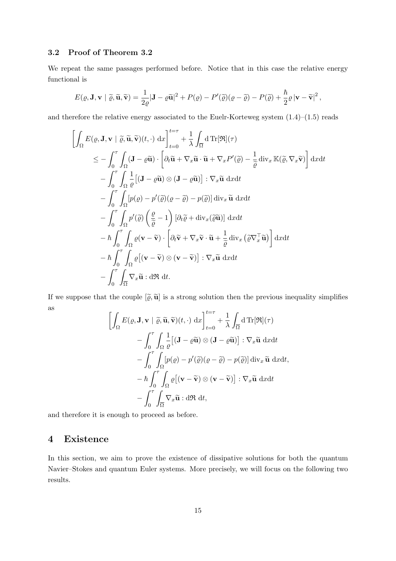#### 3.2 Proof of Theorem 3.2

We repeat the same passages performed before. Notice that in this case the relative energy functional is

$$
E(\varrho, \mathbf{J}, \mathbf{v} \mid \widetilde{\varrho}, \widetilde{\mathbf{u}}, \widetilde{\mathbf{v}}) = \frac{1}{2\varrho} |\mathbf{J} - \varrho \widetilde{\mathbf{u}}|^2 + P(\varrho) - P'(\widetilde{\varrho}) (\varrho - \widetilde{\varrho}) - P(\widetilde{\varrho}) + \frac{\hbar}{2} \varrho |\mathbf{v} - \widetilde{\mathbf{v}}|^2,
$$

and therefore the relative energy associated to the Euelr-Korteweg system (1.4)–(1.5) reads

$$
\begin{split}\n&\left[\int_{\Omega} E(\varrho, \mathbf{J}, \mathbf{v} \mid \widetilde{\varrho}, \widetilde{\mathbf{u}}, \widetilde{\mathbf{v}})(t, \cdot) dx\right]_{t=0}^{t=\tau} + \frac{1}{\lambda} \int_{\overline{\Omega}} d \operatorname{Tr}[\Re](\tau) \\
&\leq - \int_{0}^{\tau} \int_{\Omega} (\mathbf{J} - \varrho \widetilde{\mathbf{u}}) \cdot \left[\partial_{t} \widetilde{\mathbf{u}} + \nabla_{x} \widetilde{\mathbf{u}} \cdot \widetilde{\mathbf{u}} + \nabla_{x} P'(\widetilde{\varrho}) - \frac{1}{\widetilde{\varrho}} \operatorname{div}_{x} \mathbb{K}(\widetilde{\varrho}, \nabla_{x} \widetilde{\mathbf{v}})\right] dx dt \\
&- \int_{0}^{\tau} \int_{\Omega} \frac{1}{\varrho} \left[(\mathbf{J} - \varrho \widetilde{\mathbf{u}}) \otimes (\mathbf{J} - \varrho \widetilde{\mathbf{u}})\right] : \nabla_{x} \widetilde{\mathbf{u}} dx dt \\
&- \int_{0}^{\tau} \int_{\Omega} [p(\varrho) - p'(\widetilde{\varrho})(\varrho - \widetilde{\varrho}) - p(\widetilde{\varrho})] \operatorname{div}_{x} \widetilde{\mathbf{u}} dx dt \\
&- \int_{0}^{\tau} \int_{\Omega} p'(\widetilde{\varrho}) \left(\frac{\varrho}{\widetilde{\varrho}} - 1\right) \left[\partial_{t} \widetilde{\varrho} + \operatorname{div}_{x}(\widetilde{\varrho} \widetilde{\mathbf{u}})\right] dx dt \\
&- \hbar \int_{0}^{\tau} \int_{\Omega} \varrho (\mathbf{v} - \widetilde{\mathbf{v}}) \cdot \left[\partial_{t} \widetilde{\mathbf{v}} + \nabla_{x} \widetilde{\mathbf{v}} \cdot \widetilde{\mathbf{u}} + \frac{1}{\widetilde{\varrho}} \operatorname{div}_{x} (\widetilde{\varrho} \nabla_{x}^{\top} \widetilde{\mathbf{u}})\right] dx dt \\
&- \hbar \int_{0}^{\tau} \int_{\Omega} \varrho [(\mathbf{v} - \widetilde{\mathbf{v}}) \otimes (\mathbf{v} - \widetilde{\mathbf{
$$

If we suppose that the couple  $[\tilde{\varrho}, \tilde{\mathbf{u}}]$  is a strong solution then the previous inequality simplifies as

$$
\left[\int_{\Omega} E(\varrho, \mathbf{J}, \mathbf{v} \mid \widetilde{\varrho}, \widetilde{\mathbf{u}}, \widetilde{\mathbf{v}})(t, \cdot) \, dx\right]_{t=0}^{t=\tau} + \frac{1}{\lambda} \int_{\overline{\Omega}} d \operatorname{Tr}[\mathfrak{R}](\tau) \n- \int_{0}^{\tau} \int_{\Omega} \frac{1}{\varrho} [(\mathbf{J} - \varrho \widetilde{\mathbf{u}}) \otimes (\mathbf{J} - \varrho \widetilde{\mathbf{u}})] : \nabla_{x} \widetilde{\mathbf{u}} \, dxdt \n- \int_{0}^{\tau} \int_{\Omega} [p(\varrho) - p'(\widetilde{\varrho})(\varrho - \widetilde{\varrho}) - p(\widetilde{\varrho})] \, \mathrm{div}_{x} \widetilde{\mathbf{u}} \, dxdt, \n- \hbar \int_{0}^{\tau} \int_{\Omega} \varrho [(\mathbf{v} - \widetilde{\mathbf{v}}) \otimes (\mathbf{v} - \widetilde{\mathbf{v}})] : \nabla_{x} \widetilde{\mathbf{u}} \, dxdt \n- \int_{0}^{\tau} \int_{\overline{\Omega}} \nabla_{x} \widetilde{\mathbf{u}} : d \mathfrak{R} \, dt,
$$

and therefore it is enough to proceed as before.

### 4 Existence

In this section, we aim to prove the existence of dissipative solutions for both the quantum Navier–Stokes and quantum Euler systems. More precisely, we will focus on the following two results.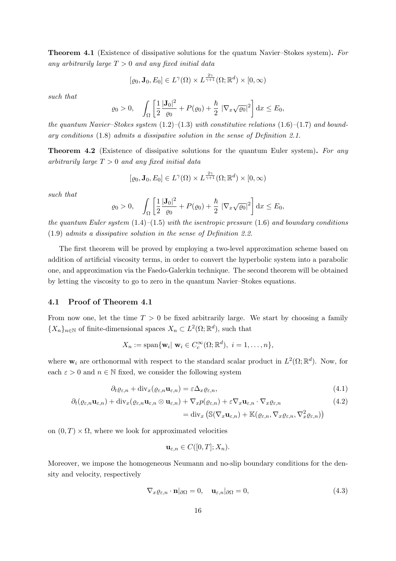Theorem 4.1 (Existence of dissipative solutions for the quatum Navier–Stokes system). For any arbitrarily large  $T > 0$  and any fixed initial data

$$
[\varrho_0, \mathbf{J}_0, E_0] \in L^{\gamma}(\Omega) \times L^{\frac{2\gamma}{\gamma+1}}(\Omega; \mathbb{R}^d) \times [0, \infty)
$$

such that

$$
\varrho_0 > 0, \quad \int_{\Omega} \left[ \frac{1}{2} \frac{|\mathbf{J}_0|^2}{\varrho_0} + P(\varrho_0) + \frac{\hbar}{2} \left| \nabla_x \sqrt{\varrho_0} \right|^2 \right] dx \le E_0,
$$

the quantum Navier–Stokes system  $(1.2)$ – $(1.3)$  with constitutive relations  $(1.6)$ – $(1.7)$  and boundary conditions (1.8) admits a dissipative solution in the sense of Definition 2.1.

**Theorem 4.2** (Existence of dissipative solutions for the quantum Euler system). For any arbitrarily large  $T > 0$  and any fixed initial data

$$
[\varrho_0, \mathbf{J}_0, E_0] \in L^{\gamma}(\Omega) \times L^{\frac{2\gamma}{\gamma+1}}(\Omega; \mathbb{R}^d) \times [0, \infty)
$$

such that

$$
\varrho_0 > 0, \quad \int_{\Omega} \left[ \frac{1}{2} \frac{|\mathbf{J}_0|^2}{\varrho_0} + P(\varrho_0) + \frac{\hbar}{2} \left| \nabla_x \sqrt{\varrho_0} \right|^2 \right] dx \le E_0,
$$

the quantum Euler system  $(1.4)$ – $(1.5)$  with the isentropic pressure  $(1.6)$  and boundary conditions (1.9) admits a dissipative solution in the sense of Definition 2.2.

The first theorem will be proved by employing a two-level approximation scheme based on addition of artificial viscosity terms, in order to convert the hyperbolic system into a parabolic one, and approximation via the Faedo-Galerkin technique. The second theorem will be obtained by letting the viscosity to go to zero in the quantum Navier–Stokes equations.

#### 4.1 Proof of Theorem 4.1

From now one, let the time  $T > 0$  be fixed arbitrarily large. We start by choosing a family  ${X_n}_{n\in\mathbb{N}}$  of finite-dimensional spaces  $X_n \subset L^2(\Omega;\mathbb{R}^d)$ , such that

$$
X_n := \text{span}\{\mathbf{w}_i | \mathbf{w}_i \in C_c^{\infty}(\Omega; \mathbb{R}^d), i = 1, \dots, n\},\
$$

where  $\mathbf{w}_i$  are orthonormal with respect to the standard scalar product in  $L^2(\Omega;\mathbb{R}^d)$ . Now, for each  $\varepsilon > 0$  and  $n \in \mathbb{N}$  fixed, we consider the following system

$$
\partial_t \varrho_{\varepsilon,n} + \text{div}_x(\varrho_{\varepsilon,n} \mathbf{u}_{\varepsilon,n}) = \varepsilon \Delta_x \varrho_{\varepsilon,n},\tag{4.1}
$$

$$
\partial_t(\varrho_{\varepsilon,n}\mathbf{u}_{\varepsilon,n}) + \mathrm{div}_x(\varrho_{\varepsilon,n}\mathbf{u}_{\varepsilon,n} \otimes \mathbf{u}_{\varepsilon,n}) + \nabla_x p(\varrho_{\varepsilon,n}) + \varepsilon \nabla_x \mathbf{u}_{\varepsilon,n} \cdot \nabla_x \varrho_{\varepsilon,n} \tag{4.2}
$$

$$
= \text{div}_x \left( \mathbb{S}(\nabla_x \mathbf{u}_{\varepsilon,n}) + \mathbb{K}(\varrho_{\varepsilon,n}, \nabla_x \varrho_{\varepsilon,n}, \nabla_x^2 \varrho_{\varepsilon,n}) \right)
$$

on  $(0, T) \times \Omega$ , where we look for approximated velocities

$$
\mathbf{u}_{\varepsilon,n} \in C([0,T];X_n).
$$

Moreover, we impose the homogeneous Neumann and no-slip boundary conditions for the density and velocity, respectively

$$
\nabla_x \varrho_{\varepsilon,n} \cdot \mathbf{n} |_{\partial \Omega} = 0, \quad \mathbf{u}_{\varepsilon,n} |_{\partial \Omega} = 0,
$$
\n(4.3)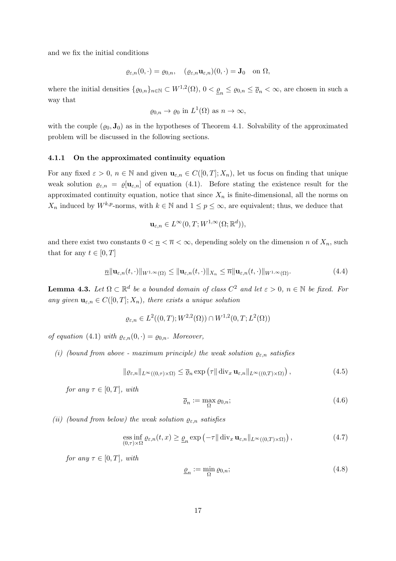and we fix the initial conditions

$$
\varrho_{\varepsilon,n}(0,\cdot)=\varrho_{0,n},\quad(\varrho_{\varepsilon,n}\mathbf{u}_{\varepsilon,n})(0,\cdot)=\mathbf{J}_0\quad\text{on }\Omega,
$$

where the initial densities  $\{ \varrho_{0,n} \}_{n \in \mathbb{N}} \subset W^{1,2}(\Omega)$ ,  $0 < \underline{\varrho}_n \leq \varrho_{0,n} \leq \overline{\varrho}_n < \infty$ , are chosen in such a way that

$$
\varrho_{0,n} \to \varrho_0
$$
 in  $L^1(\Omega)$  as  $n \to \infty$ ,

with the couple  $(\varrho_0, \mathbf{J}_0)$  as in the hypotheses of Theorem 4.1. Solvability of the approximated problem will be discussed in the following sections.

#### 4.1.1 On the approximated continuity equation

For any fixed  $\varepsilon > 0$ ,  $n \in \mathbb{N}$  and given  $\mathbf{u}_{\varepsilon,n} \in C([0,T]; X_n)$ , let us focus on finding that unique weak solution  $\varrho_{\varepsilon,n} = \varrho[\mathbf{u}_{\varepsilon,n}]$  of equation (4.1). Before stating the existence result for the approximated continuity equation, notice that since  $X_n$  is finite-dimensional, all the norms on  $X_n$  induced by  $W^{k,p}$ -norms, with  $k \in \mathbb{N}$  and  $1 \leq p \leq \infty$ , are equivalent; thus, we deduce that

$$
\mathbf{u}_{\varepsilon,n} \in L^{\infty}(0,T;W^{1,\infty}(\Omega;\mathbb{R}^d)),
$$

and there exist two constants  $0 < \underline{n} < \overline{n} < \infty$ , depending solely on the dimension n of  $X_n$ , such that for any  $t \in [0, T]$ 

$$
\underline{n} \|\mathbf{u}_{\varepsilon,n}(t,\cdot)\|_{W^{1,\infty}(\Omega)} \le \|\mathbf{u}_{\varepsilon,n}(t,\cdot)\|_{X_n} \le \overline{n} \|\mathbf{u}_{\varepsilon,n}(t,\cdot)\|_{W^{1,\infty}(\Omega)}.
$$
\n(4.4)

**Lemma 4.3.** Let  $\Omega \subset \mathbb{R}^d$  be a bounded domain of class  $C^2$  and let  $\varepsilon > 0$ ,  $n \in \mathbb{N}$  be fixed. For any given  $\mathbf{u}_{\varepsilon,n} \in C([0,T];X_n)$ , there exists a unique solution

$$
\varrho_{\varepsilon,n} \in L^2((0,T);W^{2,2}(\Omega)) \cap W^{1,2}(0,T;L^2(\Omega))
$$

of equation (4.1) with  $\varrho_{\varepsilon,n}(0,\cdot) = \varrho_{0,n}$ . Moreover,

(i) (bound from above - maximum principle) the weak solution  $\rho_{\varepsilon,n}$  satisfies

$$
\|\varrho_{\varepsilon,n}\|_{L^{\infty}((0,\tau)\times\Omega)} \leq \overline{\varrho}_n \exp\left(\tau \|\operatorname{div}_x \mathbf{u}_{\varepsilon,n}\|_{L^{\infty}((0,T)\times\Omega)}\right),\tag{4.5}
$$

for any  $\tau \in [0, T]$ , with

$$
\overline{\varrho}_n := \max_{\Omega} \varrho_{0,n};\tag{4.6}
$$

(ii) (bound from below) the weak solution  $\varrho_{\varepsilon,n}$  satisfies

$$
\underset{(0,\tau)\times\Omega}{\text{ess inf}}\varrho_{\varepsilon,n}(t,x)\geq\underline{\varrho}_n\exp\left(-\tau\|\operatorname{div}_x\mathbf{u}_{\varepsilon,n}\|_{L^{\infty}((0,T)\times\Omega)}\right),\tag{4.7}
$$

for any  $\tau \in [0, T]$ , with

$$
\underline{\varrho}_n := \min_{\Omega} \varrho_{0,n};\tag{4.8}
$$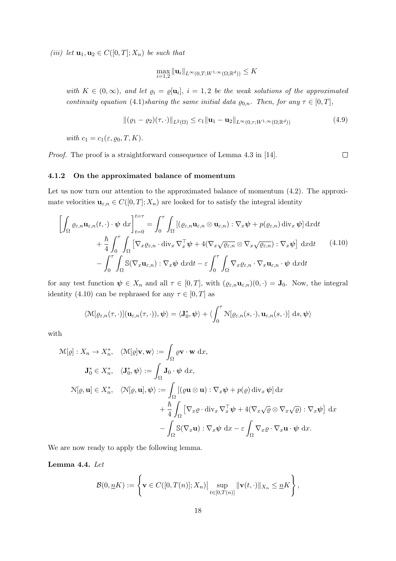(iii) let  $\mathbf{u}_1, \mathbf{u}_2 \in C([0,T];X_n)$  be such that

$$
\max_{i=1,2} \|\mathbf{u}_i\|_{L^\infty(0,T;W^{1,\infty}(\Omega;\mathbb{R}^d))} \leq K
$$

with  $K \in (0,\infty)$ , and let  $\varrho_i = \varrho[\mathbf{u}_i], i = 1,2$  be the weak solutions of the approximated continuity equation (4.1)sharing the same initial data  $\varrho_{0,n}$ . Then, for any  $\tau \in [0, T]$ ,

$$
\|(\varrho_1 - \varrho_2)(\tau, \cdot)\|_{L^2(\Omega)} \le c_1 \| \mathbf{u}_1 - \mathbf{u}_2 \|_{L^\infty(0, \tau; W^{1, \infty}(\Omega; \mathbb{R}^d))}
$$
(4.9)

 $\Box$ 

with  $c_1 = c_1(\varepsilon, \rho_0, T, K)$ .

Proof. The proof is a straightforward consequence of Lemma 4.3 in [14].

#### 4.1.2 On the approximated balance of momentum

Let us now turn our attention to the approximated balance of momentum  $(4.2)$ . The approximate velocities  $\mathbf{u}_{\varepsilon,n} \in C([0,T]; X_n)$  are looked for to satisfy the integral identity

$$
\left[\int_{\Omega} \varrho_{\varepsilon,n} \mathbf{u}_{\varepsilon,n}(t,\cdot) \cdot \boldsymbol{\psi} \, dx\right]_{t=0}^{t=\tau} = \int_{0}^{\tau} \int_{\Omega} \left[ (\varrho_{\varepsilon,n} \mathbf{u}_{\varepsilon,n} \otimes \mathbf{u}_{\varepsilon,n}) : \nabla_{x} \boldsymbol{\psi} + p(\varrho_{\varepsilon,n}) \operatorname{div}_{x} \boldsymbol{\psi} \right] dxdt + \frac{\hbar}{4} \int_{0}^{\tau} \int_{\Omega} \left[ \nabla_{x} \varrho_{\varepsilon,n} \cdot \operatorname{div}_{x} \nabla_{x}^{\top} \boldsymbol{\psi} + 4(\nabla_{x} \sqrt{\varrho_{\varepsilon,n}} \otimes \nabla_{x} \sqrt{\varrho_{\varepsilon,n}}) : \nabla_{x} \boldsymbol{\psi} \right] dxdt \qquad (4.10)- \int_{0}^{\tau} \int_{\Omega} \mathbb{S}(\nabla_{x} \mathbf{u}_{\varepsilon,n}) : \nabla_{x} \boldsymbol{\psi} \, dxdt - \varepsilon \int_{0}^{\tau} \int_{\Omega} \nabla_{x} \varrho_{\varepsilon,n} \cdot \nabla_{x} \mathbf{u}_{\varepsilon,n} \cdot \boldsymbol{\psi} \, dxdt
$$

for any test function  $\psi \in X_n$  and all  $\tau \in [0,T]$ , with  $(\varrho_{\varepsilon,n} \mathbf{u}_{\varepsilon,n})(0,\cdot) = \mathbf{J}_0$ . Now, the integral identity (4.10) can be rephrased for any  $\tau \in [0, T]$  as

$$
\langle \mathcal{M}[\varrho_{\varepsilon,n}(\tau,\cdot)](\mathbf{u}_{\varepsilon,n}(\tau,\cdot)),\boldsymbol{\psi}\rangle = \langle \mathbf{J}_0^*,\boldsymbol{\psi}\rangle + \langle \int_0^{\tau} \mathcal{N}[\varrho_{\varepsilon,n}(s,\cdot),\mathbf{u}_{\varepsilon,n}(s,\cdot)] \, ds, \boldsymbol{\psi}\rangle
$$

with

$$
\mathcal{M}[\varrho]: X_n \to X_n^*, \quad \langle \mathcal{M}[\varrho] \mathbf{v}, \mathbf{w} \rangle := \int_{\Omega} \varrho \mathbf{v} \cdot \mathbf{w} \, dx,
$$
  

$$
\mathbf{J}_0^* \in X_n^*, \quad \langle \mathbf{J}_0^*, \psi \rangle := \int_{\Omega} \mathbf{J}_0 \cdot \psi \, dx,
$$
  

$$
\mathcal{N}[\varrho, \mathbf{u}] \in X_n^*, \quad \langle \mathcal{N}[\varrho, \mathbf{u}], \psi \rangle := \int_{\Omega} [(\varrho \mathbf{u} \otimes \mathbf{u}) : \nabla_x \psi + p(\varrho) \operatorname{div}_x \psi] \, dx
$$
  

$$
+ \frac{\hbar}{4} \int_{\Omega} [\nabla_x \varrho \cdot \operatorname{div}_x \nabla_x^{\top} \psi + 4(\nabla_x \sqrt{\varrho} \otimes \nabla_x \sqrt{\varrho}) : \nabla_x \psi] \, dx
$$
  

$$
- \int_{\Omega} \mathbb{S}(\nabla_x \mathbf{u}) : \nabla_x \psi \, dx - \varepsilon \int_{\Omega} \nabla_x \varrho \cdot \nabla_x \mathbf{u} \cdot \psi \, dx.
$$

We are now ready to apply the following lemma.

Lemma 4.4. Let

$$
\mathcal{B}(0,\underline{n}K):=\left\{\mathbf{v}\in C([0,T(n)];X_n)\Big|\sup_{t\in[0,T(n)]}\|\mathbf{v}(t,\cdot)\|_{X_n}\leq\underline{n}K\right\},\,
$$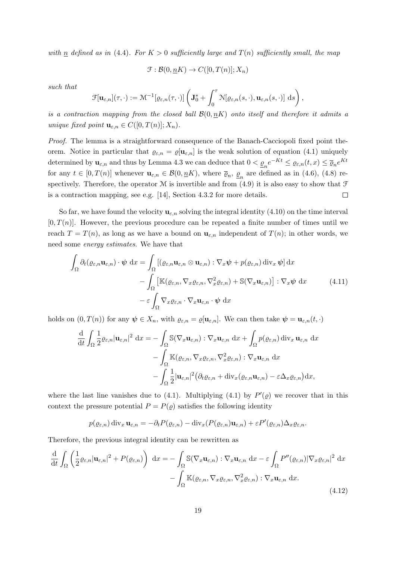with  $n$  defined as in (4.4). For  $K > 0$  sufficiently large and  $T(n)$  sufficiently small, the map

$$
\mathcal{F}: \mathcal{B}(0, \underline{n}K) \to C([0, T(n)]; X_n)
$$

such that

$$
\mathcal{F}[\mathbf{u}_{\varepsilon,n}](\tau,\cdot):=\mathcal{M}^{-1}[\varrho_{\varepsilon,n}(\tau,\cdot)]\left(\mathbf{J}^*_0+\int_0^\tau \mathcal{N}[\varrho_{\varepsilon,n}(s,\cdot),\mathbf{u}_{\varepsilon,n}(s,\cdot)]\; \mathrm{d} s\right),
$$

is a contraction mapping from the closed ball  $\mathcal{B}(0, nK)$  onto itself and therefore it admits a unique fixed point  $\mathbf{u}_{\varepsilon,n} \in C([0,T(n)];X_n)$ .

Proof. The lemma is a straightforward consequence of the Banach-Cacciopoli fixed point theorem. Notice in particular that  $\varrho_{\varepsilon,n} = \varrho[\mathbf{u}_{\varepsilon,n}]$  is the weak solution of equation (4.1) uniquely determined by  $\mathbf{u}_{\varepsilon,n}$  and thus by Lemma 4.3 we can deduce that  $0 < \underline{\varrho}_n e^{-Kt} \leq \varrho_{\varepsilon,n}(t,x) \leq \overline{\varrho}_n e^{Kt}$ for any  $t \in [0, T(n)]$  whenever  $\mathbf{u}_{\varepsilon,n} \in \mathcal{B}(0, \underline{n}K)$ , where  $\overline{\varrho}_n$ ,  $\underline{\varrho}_n$  are defined as in (4.6), (4.8) respectively. Therefore, the operator  $M$  is invertible and from (4.9) it is also easy to show that  $\mathcal F$ is a contraction mapping, see e.g. [14], Section 4.3.2 for more details.  $\Box$ 

So far, we have found the velocity  $\mathbf{u}_{\varepsilon,n}$  solving the integral identity (4.10) on the time interval  $[0, T(n)]$ . However, the previous procedure can be repeated a finite number of times until we reach  $T = T(n)$ , as long as we have a bound on  $\mathbf{u}_{\varepsilon,n}$  independent of  $T(n)$ ; in other words, we need some energy estimates. We have that

$$
\int_{\Omega} \partial_t (\varrho_{\varepsilon,n} \mathbf{u}_{\varepsilon,n}) \cdot \boldsymbol{\psi} \, dx = \int_{\Omega} \left[ (\varrho_{\varepsilon,n} \mathbf{u}_{\varepsilon,n} \otimes \mathbf{u}_{\varepsilon,n}) : \nabla_x \boldsymbol{\psi} + p(\varrho_{\varepsilon,n}) \operatorname{div}_x \boldsymbol{\psi} \right] dx \n- \int_{\Omega} \left[ \mathbb{K} (\varrho_{\varepsilon,n}, \nabla_x \varrho_{\varepsilon,n}, \nabla_x^2 \varrho_{\varepsilon,n}) + \mathbb{S} (\nabla_x \mathbf{u}_{\varepsilon,n}) \right] : \nabla_x \boldsymbol{\psi} \, dx \tag{4.11}
$$
\n
$$
- \varepsilon \int_{\Omega} \nabla_x \varrho_{\varepsilon,n} \cdot \nabla_x \mathbf{u}_{\varepsilon,n} \cdot \boldsymbol{\psi} \, dx
$$

holds on  $(0, T(n))$  for any  $\psi \in X_n$ , with  $\varrho_{\varepsilon,n} = \varrho[\mathbf{u}_{\varepsilon,n}]$ . We can then take  $\psi = \mathbf{u}_{\varepsilon,n}(t, \cdot)$ 

$$
\frac{\mathrm{d}}{\mathrm{d}t} \int_{\Omega} \frac{1}{2} \varrho_{\varepsilon,n} |\mathbf{u}_{\varepsilon,n}|^2 \, \mathrm{d}x = - \int_{\Omega} \mathbb{S}(\nabla_x \mathbf{u}_{\varepsilon,n}) : \nabla_x \mathbf{u}_{\varepsilon,n} \, \mathrm{d}x + \int_{\Omega} p(\varrho_{\varepsilon,n}) \, \mathrm{div}_x \mathbf{u}_{\varepsilon,n} \, \mathrm{d}x \n- \int_{\Omega} \mathbb{K}(\varrho_{\varepsilon,n}, \nabla_x \varrho_{\varepsilon,n}, \nabla_x^2 \varrho_{\varepsilon,n}) : \nabla_x \mathbf{u}_{\varepsilon,n} \, \mathrm{d}x \n- \int_{\Omega} \frac{1}{2} |\mathbf{u}_{\varepsilon,n}|^2 (\partial_t \varrho_{\varepsilon,n} + \mathrm{div}_x(\varrho_{\varepsilon,n} \mathbf{u}_{\varepsilon,n}) - \varepsilon \Delta_x \varrho_{\varepsilon,n}) \mathrm{d}x,
$$

where the last line vanishes due to (4.1). Multiplying (4.1) by  $P'(\varrho)$  we recover that in this context the pressure potential  $P = P(\varrho)$  satisfies the following identity

$$
p(\varrho_{\varepsilon,n}) \operatorname{div}_x \mathbf{u}_{\varepsilon,n} = -\partial_t P(\varrho_{\varepsilon,n}) - \operatorname{div}_x (P(\varrho_{\varepsilon,n}) \mathbf{u}_{\varepsilon,n}) + \varepsilon P'(\varrho_{\varepsilon,n}) \Delta_x \varrho_{\varepsilon,n}.
$$

Therefore, the previous integral identity can be rewritten as

$$
\frac{\mathrm{d}}{\mathrm{d}t} \int_{\Omega} \left( \frac{1}{2} \varrho_{\varepsilon,n} |\mathbf{u}_{\varepsilon,n}|^2 + P(\varrho_{\varepsilon,n}) \right) \, \mathrm{d}x = - \int_{\Omega} \mathbb{S}(\nabla_x \mathbf{u}_{\varepsilon,n}) : \nabla_x \mathbf{u}_{\varepsilon,n} \, \mathrm{d}x - \varepsilon \int_{\Omega} P''(\varrho_{\varepsilon,n}) |\nabla_x \varrho_{\varepsilon,n}|^2 \, \mathrm{d}x \n- \int_{\Omega} \mathbb{K}(\varrho_{\varepsilon,n}, \nabla_x \varrho_{\varepsilon,n}, \nabla_x^2 \varrho_{\varepsilon,n}) : \nabla_x \mathbf{u}_{\varepsilon,n} \, \mathrm{d}x.
$$
\n(4.12)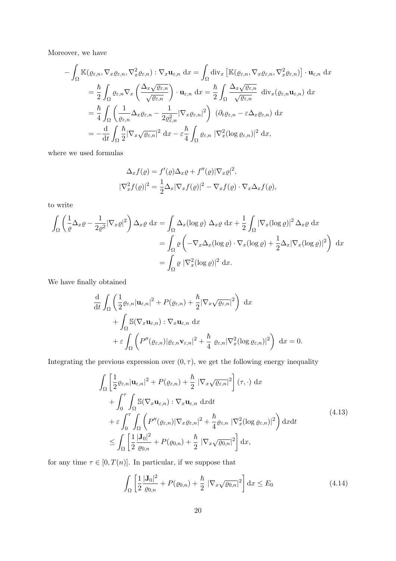Moreover, we have

$$
-\int_{\Omega} \mathbb{K}(\varrho_{\varepsilon,n}, \nabla_{x}\varrho_{\varepsilon,n}, \nabla_{x}^{2}\varrho_{\varepsilon,n}) : \nabla_{x}\mathbf{u}_{\varepsilon,n} dx = \int_{\Omega} \operatorname{div}_{x} \left[ \mathbb{K}(\varrho_{\varepsilon,n}, \nabla_{x}\varrho_{\varepsilon,n}, \nabla_{x}^{2}\varrho_{\varepsilon,n}) \right] \cdot \mathbf{u}_{\varepsilon,n} dx
$$
  
\n
$$
= \frac{\hbar}{2} \int_{\Omega} \varrho_{\varepsilon,n} \nabla_{x} \left( \frac{\Delta_{x}\sqrt{\varrho_{\varepsilon,n}}}{\sqrt{\varrho_{\varepsilon,n}}} \right) \cdot \mathbf{u}_{\varepsilon,n} dx = \frac{\hbar}{2} \int_{\Omega} \frac{\Delta_{x}\sqrt{\varrho_{\varepsilon,n}}}{\sqrt{\varrho_{\varepsilon,n}}} \operatorname{div}_{x}(\varrho_{\varepsilon,n}\mathbf{u}_{\varepsilon,n}) dx
$$
  
\n
$$
= \frac{\hbar}{4} \int_{\Omega} \left( \frac{1}{\varrho_{\varepsilon,n}} \Delta_{x}\varrho_{\varepsilon,n} - \frac{1}{2\varrho_{\varepsilon,n}^{2}} |\nabla_{x}\varrho_{\varepsilon,n}|^{2} \right) (\partial_{t}\varrho_{\varepsilon,n} - \varepsilon \Delta_{x}\varrho_{\varepsilon,n}) dx
$$
  
\n
$$
= -\frac{d}{dt} \int_{\Omega} \frac{\hbar}{2} |\nabla_{x}\sqrt{\varrho_{\varepsilon,n}}|^{2} dx - \varepsilon \frac{\hbar}{4} \int_{\Omega} \varrho_{\varepsilon,n} |\nabla_{x}^{2}(\log \varrho_{\varepsilon,n})|^{2} dx,
$$

where we used formulas

$$
\Delta_x f(\varrho) = f'(\varrho) \Delta_x \varrho + f''(\varrho) |\nabla_x \varrho|^2,
$$
  

$$
|\nabla_x^2 f(\varrho)|^2 = \frac{1}{2} \Delta_x |\nabla_x f(\varrho)|^2 - \nabla_x f(\varrho) \cdot \nabla_x \Delta_x f(\varrho),
$$

to write

$$
\int_{\Omega} \left( \frac{1}{\varrho} \Delta_x \varrho - \frac{1}{2\varrho^2} |\nabla_x \varrho|^2 \right) \Delta_x \varrho \, dx = \int_{\Omega} \Delta_x (\log \varrho) \, \Delta_x \varrho \, dx + \frac{1}{2} \int_{\Omega} |\nabla_x (\log \varrho)|^2 \, \Delta_x \varrho \, dx
$$

$$
= \int_{\Omega} \varrho \left( -\nabla_x \Delta_x (\log \varrho) \cdot \nabla_x (\log \varrho) + \frac{1}{2} \Delta_x |\nabla_x (\log \varrho)|^2 \right) \, dx
$$

$$
= \int_{\Omega} \varrho |\nabla_x^2 (\log \varrho)|^2 \, dx.
$$

We have finally obtained

$$
\frac{\mathrm{d}}{\mathrm{d}t} \int_{\Omega} \left( \frac{1}{2} \varrho_{\varepsilon,n} |\mathbf{u}_{\varepsilon,n}|^2 + P(\varrho_{\varepsilon,n}) + \frac{\hbar}{2} |\nabla_x \sqrt{\varrho_{\varepsilon,n}}|^2 \right) \, \mathrm{d}x \n+ \int_{\Omega} \mathbb{S}(\nabla_x \mathbf{u}_{\varepsilon,n}) : \nabla_x \mathbf{u}_{\varepsilon,n} \, \mathrm{d}x \n+ \varepsilon \int_{\Omega} \left( P''(\varrho_{\varepsilon,n}) |\varrho_{\varepsilon,n} \mathbf{v}_{\varepsilon,n}|^2 + \frac{\hbar}{4} \varrho_{\varepsilon,n} |\nabla_x^2(\log \varrho_{\varepsilon,n})|^2 \right) \, \mathrm{d}x = 0.
$$

Integrating the previous expression over  $(0, \tau)$ , we get the following energy inequality

$$
\int_{\Omega} \left[ \frac{1}{2} \varrho_{\varepsilon,n} |\mathbf{u}_{\varepsilon,n}|^{2} + P(\varrho_{\varepsilon,n}) + \frac{\hbar}{2} |\nabla_{x} \sqrt{\varrho_{\varepsilon,n}}|^{2} \right] (\tau, \cdot) \, dx \n+ \int_{0}^{\tau} \int_{\Omega} \mathbb{S}(\nabla_{x} \mathbf{u}_{\varepsilon,n}) : \nabla_{x} \mathbf{u}_{\varepsilon,n} \, dxdt \n+ \varepsilon \int_{0}^{\tau} \int_{\Omega} \left( P''(\varrho_{\varepsilon,n}) |\nabla_{x} \varrho_{\varepsilon,n}|^{2} + \frac{\hbar}{4} \varrho_{\varepsilon,n} |\nabla_{x}^{2}(\log \varrho_{\varepsilon,n})|^{2} \right) dxdt \n\leq \int_{\Omega} \left[ \frac{1}{2} \frac{|\mathbf{J}_{0}|^{2}}{\varrho_{0,n}} + P(\varrho_{0,n}) + \frac{\hbar}{2} |\nabla_{x} \sqrt{\varrho_{0,n}}|^{2} \right] dx,
$$
\n(4.13)

for any time  $\tau \in [0, T(n)]$ . In particular, if we suppose that

$$
\int_{\Omega} \left[ \frac{1}{2} \frac{|\mathbf{J}_0|^2}{\varrho_{0,n}} + P(\varrho_{0,n}) + \frac{\hbar}{2} |\nabla_x \sqrt{\varrho_{0,n}}|^2 \right] dx \le E_0 \tag{4.14}
$$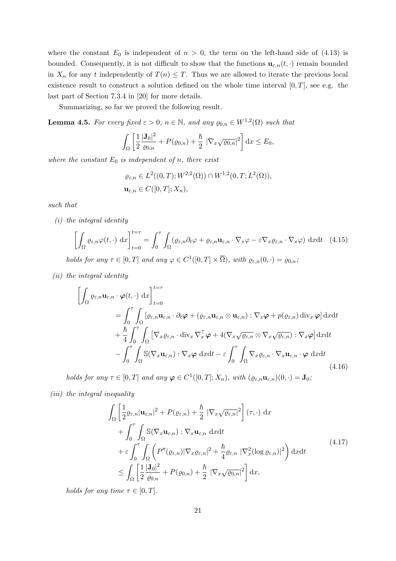where the constant  $E_0$  is independent of  $n > 0$ , the term on the left-hand side of (4.13) is bounded. Consequently, it is not difficult to show that the functions  $\mathbf{u}_{\varepsilon,n}(t,\cdot)$  remain bounded in  $X_n$  for any t independently of  $T(n) \leq T$ . Thus we are allowed to iterate the previous local existence result to construct a solution defined on the whole time interval  $[0, T]$ , see e.g. the last part of Section 7.3.4 in [20] for more details.

Summarizing, so far we proved the following result.

**Lemma 4.5.** For every fixed  $\varepsilon > 0$ ,  $n \in \mathbb{N}$ , and any  $\varrho_{0,n} \in W^{1,2}(\Omega)$  such that

$$
\int_{\Omega} \left[ \frac{1}{2} \frac{|\mathbf{J}_0|^2}{\varrho_{0,n}} + P(\varrho_{0,n}) + \frac{\hbar}{2} |\nabla_x \sqrt{\varrho_{0,n}}|^2 \right] dx \le E_0,
$$

where the constant  $E_0$  is independent of n, there exist

$$
\varrho_{\varepsilon,n} \in L^{2}((0,T); W^{2,2}(\Omega)) \cap W^{1,2}(0,T; L^{2}(\Omega)),
$$
  

$$
\mathbf{u}_{\varepsilon,n} \in C([0,T]; X_n),
$$

such that

(i) the integral identity

$$
\left[\int_{\Omega} \varrho_{\varepsilon,n} \varphi(t,\cdot) \, \mathrm{d}x\right]_{t=0}^{t=\tau} = \int_{0}^{\tau} \int_{\Omega} (\varrho_{\varepsilon,n} \partial_t \varphi + \varrho_{\varepsilon,n} \mathbf{u}_{\varepsilon,n} \cdot \nabla_x \varphi - \varepsilon \nabla_x \varrho_{\varepsilon,n} \cdot \nabla_x \varphi) \, \mathrm{d}x \mathrm{d}t \quad (4.15)
$$

holds for any  $\tau \in [0, T]$  and any  $\varphi \in C^1([0, T] \times \overline{\Omega})$ , with  $\varrho_{\varepsilon,n}(0, \cdot) = \varrho_{0,n}$ ,

(ii) the integral identity

$$
\left[\int_{\Omega} \varrho_{\varepsilon,n} \mathbf{u}_{\varepsilon,n} \cdot \boldsymbol{\varphi}(t,\cdot) \, dx\right]_{t=0}^{t=\tau}
$$
\n
$$
= \int_{0}^{\tau} \int_{\Omega} \left[\varrho_{\varepsilon,n} \mathbf{u}_{\varepsilon,n} \cdot \partial_{t} \boldsymbol{\varphi} + (\varrho_{\varepsilon,n} \mathbf{u}_{\varepsilon,n} \otimes \mathbf{u}_{\varepsilon,n}) : \nabla_{x} \boldsymbol{\varphi} + p(\varrho_{\varepsilon,n}) \operatorname{div}_{x} \boldsymbol{\varphi}\right] dxdt
$$
\n
$$
+ \frac{\hbar}{4} \int_{0}^{\tau} \int_{\Omega} \left[\nabla_{x} \varrho_{\varepsilon,n} \cdot \operatorname{div}_{x} \nabla_{x}^{\top} \boldsymbol{\varphi} + 4(\nabla_{x} \sqrt{\varrho_{\varepsilon,n}} \otimes \nabla_{x} \sqrt{\varrho_{\varepsilon,n}}) : \nabla_{x} \boldsymbol{\varphi}\right] dxdt
$$
\n
$$
- \int_{0}^{\tau} \int_{\Omega} \mathbb{S}(\nabla_{x} \mathbf{u}_{\varepsilon,n}) : \nabla_{x} \boldsymbol{\varphi} \, dxdt - \varepsilon \int_{0}^{\tau} \int_{\Omega} \nabla_{x} \varrho_{\varepsilon,n} \cdot \nabla_{x} \mathbf{u}_{\varepsilon,n} \cdot \boldsymbol{\varphi} \, dxdt
$$
\n(4.16)

holds for any  $\tau \in [0, T]$  and any  $\varphi \in C^1([0, T]; X_n)$ , with  $(\varrho_{\varepsilon,n} \mathbf{u}_{\varepsilon,n})(0, \cdot) = \mathbf{J}_0$ ;

(iii) the integral inequality

$$
\int_{\Omega} \left[ \frac{1}{2} \varrho_{\varepsilon,n} |\mathbf{u}_{\varepsilon,n}|^{2} + P(\varrho_{\varepsilon,n}) + \frac{\hbar}{2} |\nabla_{x} \sqrt{\varrho_{\varepsilon,n}}|^{2} \right] (\tau, \cdot) \, dx \n+ \int_{0}^{\tau} \int_{\Omega} \mathbb{S}(\nabla_{x} \mathbf{u}_{\varepsilon,n}) : \nabla_{x} \mathbf{u}_{\varepsilon,n} \, dxdt \n+ \varepsilon \int_{0}^{\tau} \int_{\Omega} \left( P''(\varrho_{\varepsilon,n}) |\nabla_{x} \varrho_{\varepsilon,n}|^{2} + \frac{\hbar}{4} \varrho_{\varepsilon,n} |\nabla_{x}^{2}(\log \varrho_{\varepsilon,n})|^{2} \right) dxdt \n\leq \int_{\Omega} \left[ \frac{1}{2} \frac{|\mathbf{J}_{0}|^{2}}{\varrho_{0,n}} + P(\varrho_{0,n}) + \frac{\hbar}{2} |\nabla_{x} \sqrt{\varrho_{0,n}}|^{2} \right] dx,
$$
\n(4.17)

holds for any time  $\tau \in [0, T]$ .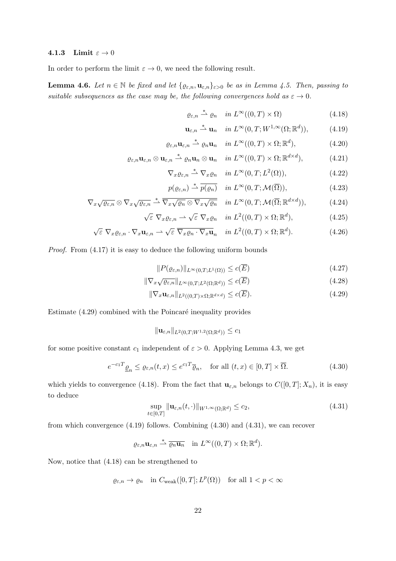#### 4.1.3 Limit  $\varepsilon \to 0$

In order to perform the limit  $\varepsilon \to 0$ , we need the following result.

**Lemma 4.6.** Let  $n \in \mathbb{N}$  be fixed and let  $\{ \varrho_{\varepsilon,n}, \mathbf{u}_{\varepsilon,n} \}_{\varepsilon>0}$  be as in Lemma 4.5. Then, passing to suitable subsequences as the case may be, the following convergences hold as  $\varepsilon \to 0$ .

$$
\varrho_{\varepsilon,n} \stackrel{*}{\rightharpoonup} \varrho_n \quad in \ L^{\infty}((0,T) \times \Omega) \tag{4.18}
$$

$$
\mathbf{u}_{\varepsilon,n} \stackrel{*}{\rightharpoonup} \mathbf{u}_n \quad in \ L^{\infty}(0,T;W^{1,\infty}(\Omega;\mathbb{R}^d)),\tag{4.19}
$$

$$
\varrho_{\varepsilon,n}\mathbf{u}_{\varepsilon,n} \stackrel{*}{\rightharpoonup} \varrho_n \mathbf{u}_n \quad in \ L^{\infty}((0,T) \times \Omega; \mathbb{R}^d), \tag{4.20}
$$

$$
\varrho_{\varepsilon,n}\mathbf{u}_{\varepsilon,n}\otimes\mathbf{u}_{\varepsilon,n}\stackrel{*}{\rightharpoonup}\varrho_n\mathbf{u}_n\otimes\mathbf{u}_n\quad\text{in }L^{\infty}((0,T)\times\Omega;\mathbb{R}^{d\times d}),\tag{4.21}
$$

$$
\nabla_x \varrho_{\varepsilon,n} \stackrel{*}{\rightharpoonup} \nabla_x \varrho_n \quad in \ L^{\infty}(0,T; L^2(\Omega)), \tag{4.22}
$$

$$
p(\varrho_{\varepsilon,n}) \stackrel{*}{\rightharpoonup} \overline{p(\varrho_n)} \quad \text{in } L^{\infty}(0,T;\mathcal{M}(\overline{\Omega})), \tag{4.23}
$$

$$
\nabla_x \sqrt{\varrho_{\varepsilon,n}} \otimes \nabla_x \sqrt{\varrho_{\varepsilon,n}} \stackrel{*}{\rightharpoonup} \overline{\nabla_x \sqrt{\varrho_n} \otimes \nabla_x \sqrt{\varrho_n}} \quad \text{in } L^{\infty}(0,T; \mathcal{M}(\overline{\Omega}; \mathbb{R}^{d \times d})), \tag{4.24}
$$

$$
\sqrt{\varepsilon} \ \nabla_x \varrho_{\varepsilon,n} \rightharpoonup \sqrt{\varepsilon} \ \nabla_x \varrho_n \quad \text{in } L^2((0,T) \times \Omega; \mathbb{R}^d), \tag{4.25}
$$

$$
\sqrt{\varepsilon} \ \nabla_x \varrho_{\varepsilon,n} \cdot \nabla_x \mathbf{u}_{\varepsilon,n} \rightharpoonup \sqrt{\varepsilon} \ \overline{\nabla_x \varrho_n \cdot \nabla_x \mathbf{u}_n} \quad in \ L^2((0,T) \times \Omega; \mathbb{R}^d). \tag{4.26}
$$

Proof. From (4.17) it is easy to deduce the following uniform bounds

$$
||P(\varrho_{\varepsilon,n})||_{L^{\infty}(0,T;L^{1}(\Omega))} \leq c(\overline{E})
$$
\n(4.27)

$$
\|\nabla_x \sqrt{\varrho_{\varepsilon,n}}\|_{L^\infty(0,T;L^2(\Omega;\mathbb{R}^d))} \leq c(\overline{E})\tag{4.28}
$$

$$
\|\nabla_x \mathbf{u}_{\varepsilon,n}\|_{L^2((0,T)\times\Omega;\mathbb{R}^{d\times d})} \le c(\overline{E}).\tag{4.29}
$$

Estimate  $(4.29)$  combined with the Poincaré inequality provides

$$
\|\mathbf{u}_{\varepsilon,n}\|_{L^2(0,T;W^{1,2}(\Omega;\mathbb{R}^d))}\leq c_1
$$

for some positive constant  $c_1$  independent of  $\varepsilon > 0$ . Applying Lemma 4.3, we get

$$
e^{-c_1T}\underline{\varrho}_n \le \varrho_{\varepsilon,n}(t,x) \le e^{c_1T}\overline{\varrho}_n, \quad \text{for all } (t,x) \in [0,T] \times \overline{\Omega}.
$$
 (4.30)

which yields to convergence (4.18). From the fact that  $\mathbf{u}_{\varepsilon,n}$  belongs to  $C([0,T];X_n)$ , it is easy to deduce

$$
\sup_{t \in [0,T]} \|\mathbf{u}_{\varepsilon,n}(t,\cdot)\|_{W^{1,\infty}(\Omega;\mathbb{R}^d)} \le c_2,
$$
\n(4.31)

from which convergence (4.19) follows. Combining (4.30) and (4.31), we can recover

 $\varrho_{\varepsilon,n} \mathbf{u}_{\varepsilon,n} \stackrel{*}{\rightharpoonup} \overline{\varrho_n \mathbf{u}_n} \quad \text{in } L^{\infty}((0,T) \times \Omega; \mathbb{R}^d).$ 

Now, notice that (4.18) can be strengthened to

$$
\varrho_{\varepsilon,n} \to \varrho_n \quad \text{in } C_{\text{weak}}([0,T]; L^p(\Omega)) \quad \text{for all } 1 < p < \infty
$$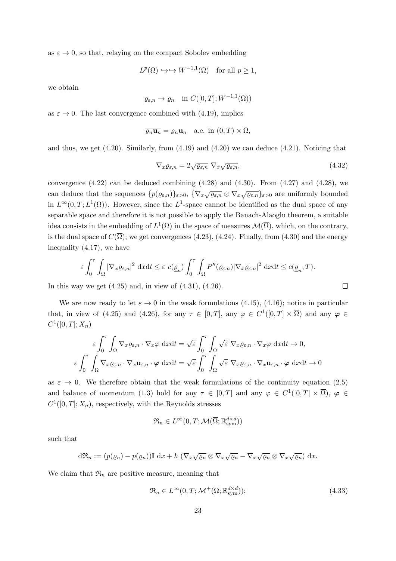as  $\varepsilon \to 0$ , so that, relaying on the compact Sobolev embedding

$$
L^p(\Omega) \hookrightarrow \hookrightarrow W^{-1,1}(\Omega)
$$
 for all  $p \ge 1$ ,

we obtain

$$
\varrho_{\varepsilon,n} \to \varrho_n \quad \text{in } C([0,T];W^{-1,1}(\Omega))
$$

as  $\varepsilon \to 0$ . The last convergence combined with (4.19), implies

$$
\overline{\varrho_n \mathbf{u}_n} = \varrho_n \mathbf{u}_n \quad \text{a.e. in } (0, T) \times \Omega,
$$

and thus, we get  $(4.20)$ . Similarly, from  $(4.19)$  and  $(4.20)$  we can deduce  $(4.21)$ . Noticing that

$$
\nabla_x \varrho_{\varepsilon,n} = 2\sqrt{\varrho_{\varepsilon,n}} \ \nabla_x \sqrt{\varrho_{\varepsilon,n}},\tag{4.32}
$$

convergence  $(4.22)$  can be deduced combining  $(4.28)$  and  $(4.30)$ . From  $(4.27)$  and  $(4.28)$ , we can deduce that the sequences  $\{p(\varrho_{\varepsilon,n})\}_{\varepsilon>0}, \{\nabla_x \sqrt{\varrho_{\varepsilon,n}} \otimes \nabla_x \sqrt{\varrho_{\varepsilon,n}}\}_{\varepsilon>0}$  are uniformly bounded in  $L^{\infty}(0,T;L^{1}(\Omega))$ . However, since the  $L^{1}$ -space cannot be identified as the dual space of any separable space and therefore it is not possible to apply the Banach-Alaoglu theorem, a suitable idea consists in the embedding of  $L^1(\Omega)$  in the space of measures  $\mathcal{M}(\overline{\Omega})$ , which, on the contrary, is the dual space of  $C(\overline{\Omega})$ ; we get convergences (4.23), (4.24). Finally, from (4.30) and the energy inequality (4.17), we have

$$
\varepsilon \int_0^{\tau} \int_{\Omega} |\nabla_x \varrho_{\varepsilon,n}|^2 \, \mathrm{d}x \mathrm{d}t \leq \varepsilon \, c(\underline{\varrho}_n) \int_0^{\tau} \int_{\Omega} P''(\varrho_{\varepsilon,n}) |\nabla_x \varrho_{\varepsilon,n}|^2 \, \mathrm{d}x \mathrm{d}t \leq c(\underline{\varrho}_n, T).
$$
\nby we get (4.25) and, in view of (4.31), (4.26).

In this way we get  $(4.25)$  and, in view of  $(4.31)$ ,  $(4.26)$ .

We are now ready to let  $\varepsilon \to 0$  in the weak formulations (4.15), (4.16); notice in particular that, in view of (4.25) and (4.26), for any  $\tau \in [0,T]$ , any  $\varphi \in C^1([0,T] \times \overline{\Omega})$  and any  $\varphi \in C$  $C^1([0,T];X_n)$ 

$$
\varepsilon \int_0^{\tau} \int_{\Omega} \nabla_x \varrho_{\varepsilon,n} \cdot \nabla_x \varphi \, dxdt = \sqrt{\varepsilon} \int_0^{\tau} \int_{\Omega} \sqrt{\varepsilon} \, \nabla_x \varrho_{\varepsilon,n} \cdot \nabla_x \varphi \, dxdt \to 0,
$$
  

$$
\varepsilon \int_0^{\tau} \int_{\Omega} \nabla_x \varrho_{\varepsilon,n} \cdot \nabla_x \mathbf{u}_{\varepsilon,n} \cdot \varphi \, dxdt = \sqrt{\varepsilon} \int_0^{\tau} \int_{\Omega} \sqrt{\varepsilon} \, \nabla_x \varrho_{\varepsilon,n} \cdot \nabla_x \mathbf{u}_{\varepsilon,n} \cdot \varphi \, dxdt \to 0
$$

as  $\varepsilon \to 0$ . We therefore obtain that the weak formulations of the continuity equation (2.5) and balance of momentum (1.3) hold for any  $\tau \in [0,T]$  and any  $\varphi \in C^1([0,T] \times \overline{\Omega})$ ,  $\varphi \in$  $C^1([0,T];X_n)$ , respectively, with the Reynolds stresses

$$
\mathfrak{R}_n \in L^\infty(0,T;\mathcal{M}(\overline{\Omega};\mathbb{R}_\mathrm{sym}^{d \times d}))
$$

such that

$$
d\mathfrak{R}_n := (\overline{p(\varrho_n)} - p(\varrho_n)) \mathbb{I} \, dx + \hbar \, (\overline{\nabla_x \sqrt{\varrho_n} \otimes \nabla_x \sqrt{\varrho_n}} - \nabla_x \sqrt{\varrho_n} \otimes \nabla_x \sqrt{\varrho_n}) \, dx.
$$

We claim that  $\mathfrak{R}_n$  are positive measure, meaning that

$$
\mathfrak{R}_n \in L^{\infty}(0, T; \mathcal{M}^+(\overline{\Omega}; \mathbb{R}^{d \times d}_{\text{sym}}));\tag{4.33}
$$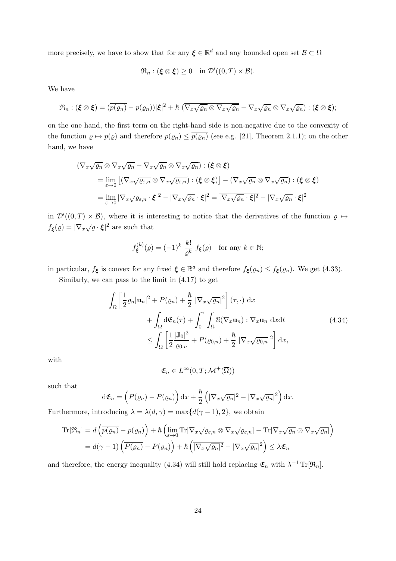more precisely, we have to show that for any  $\xi \in \mathbb{R}^d$  and any bounded open set  $\mathcal{B} \subset \Omega$ 

$$
\mathfrak{R}_n : (\xi \otimes \xi) \ge 0 \quad \text{in } \mathcal{D}'((0,T) \times \mathcal{B}).
$$

We have

$$
\mathfrak{R}_n : (\boldsymbol{\xi} \otimes \boldsymbol{\xi}) = (\overline{p(\varrho_n)} - p(\varrho_n)) |\boldsymbol{\xi}|^2 + \hbar \left( \overline{\nabla_x \sqrt{\varrho_n} \otimes \nabla_x \sqrt{\varrho_n}} - \nabla_x \sqrt{\varrho_n} \otimes \nabla_x \sqrt{\varrho_n} \right) : (\boldsymbol{\xi} \otimes \boldsymbol{\xi});
$$

on the one hand, the first term on the right-hand side is non-negative due to the convexity of the function  $\rho \mapsto p(\rho)$  and therefore  $p(\rho_n) \leq \overline{p(\rho_n)}$  (see e.g. [21], Theorem 2.1.1); on the other hand, we have

$$
(\overline{\nabla_x \sqrt{\varrho_n} \otimes \nabla_x \sqrt{\varrho_n}} - \nabla_x \sqrt{\varrho_n} \otimes \nabla_x \sqrt{\varrho_n}) : (\xi \otimes \xi)
$$
  
\n
$$
= \lim_{\varepsilon \to 0} [(\nabla_x \sqrt{\varrho_{\varepsilon,n}} \otimes \nabla_x \sqrt{\varrho_{\varepsilon,n}}) : (\xi \otimes \xi)] - (\nabla_x \sqrt{\varrho_n} \otimes \nabla_x \sqrt{\varrho_n}) : (\xi \otimes \xi)
$$
  
\n
$$
= \lim_{\varepsilon \to 0} |\nabla_x \sqrt{\varrho_{\varepsilon,n}} \cdot \xi|^2 - |\nabla_x \sqrt{\varrho_n} \cdot \xi|^2 = |\nabla_x \sqrt{\varrho_n} \cdot \xi|^2 - |\nabla_x \sqrt{\varrho_n} \cdot \xi|^2
$$

in  $\mathcal{D}'((0,T)\times\mathcal{B})$ , where it is interesting to notice that the derivatives of the function  $\rho \mapsto$  $f_{\boldsymbol{\xi}}(\varrho) = |\nabla_x \sqrt{\varrho} \cdot \boldsymbol{\xi}|^2$  are such that

$$
f_{\xi}^{(k)}(\varrho) = (-1)^k \frac{k!}{\varrho^k} f_{\xi}(\varrho) \quad \text{for any } k \in \mathbb{N};
$$

in particular,  $f_{\xi}$  is convex for any fixed  $\xi \in \mathbb{R}^d$  and therefore  $f_{\xi}(\varrho_n) \leq \overline{f_{\xi}(\varrho_n)}$ . We get (4.33).

Similarly, we can pass to the limit in (4.17) to get

$$
\int_{\Omega} \left[ \frac{1}{2} \varrho_n |\mathbf{u}_n|^2 + P(\varrho_n) + \frac{\hbar}{2} |\nabla_x \sqrt{\varrho_n}|^2 \right] (\tau, \cdot) \, \mathrm{d}x \n+ \int_{\overline{\Omega}} \mathrm{d} \mathfrak{E}_n(\tau) + \int_0^\tau \int_{\Omega} \mathbb{S}(\nabla_x \mathbf{u}_n) : \nabla_x \mathbf{u}_n \, \mathrm{d}x \mathrm{d}t \n\leq \int_{\Omega} \left[ \frac{1}{2} \frac{|\mathbf{J}_0|^2}{\varrho_{0,n}} + P(\varrho_{0,n}) + \frac{\hbar}{2} |\nabla_x \sqrt{\varrho_{0,n}}|^2 \right] \mathrm{d}x,
$$
\n(4.34)

with

$$
\mathfrak{E}_n\in L^\infty(0,T;\mathcal{M}^+(\overline{\Omega}))
$$

such that

$$
d\mathfrak{E}_n = \left(\overline{P(\varrho_n)} - P(\varrho_n)\right) dx + \frac{\hbar}{2} \left(\overline{|\nabla_x \sqrt{\varrho_n}|^2} - |\nabla_x \sqrt{\varrho_n}|^2\right) dx.
$$

Furthermore, introducing  $\lambda = \lambda(d, \gamma) = \max\{d(\gamma - 1), 2\}$ , we obtain

$$
\mathrm{Tr}[\mathfrak{R}_n] = d\left(\overline{p(\varrho_n)} - p(\varrho_n)\right) + \hbar \left(\lim_{\varepsilon \to 0} \mathrm{Tr}[\nabla_x \sqrt{\varrho_{\varepsilon,n}} \otimes \nabla_x \sqrt{\varrho_{\varepsilon,n}}] - \mathrm{Tr}[\nabla_x \sqrt{\varrho_n} \otimes \nabla_x \sqrt{\varrho_n}]\right)
$$

$$
= d(\gamma - 1) \left(\overline{P(\varrho_n)} - P(\varrho_n)\right) + \hbar \left(\overline{|\nabla_x \sqrt{\varrho_n}|^2} - |\nabla_x \sqrt{\varrho_n}|^2\right) \le \lambda \mathfrak{E}_n
$$

and therefore, the energy inequality (4.34) will still hold replacing  $\mathfrak{E}_n$  with  $\lambda^{-1} \text{Tr}[\mathfrak{R}_n]$ .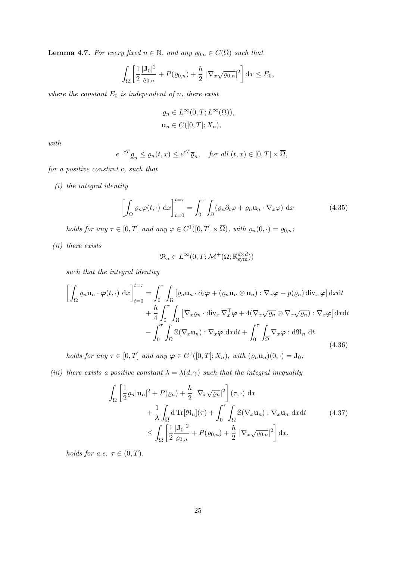**Lemma 4.7.** For every fixed  $n \in \mathbb{N}$ , and any  $\varrho_{0,n} \in C(\overline{\Omega})$  such that

$$
\int_{\Omega} \left[ \frac{1}{2} \frac{|\mathbf{J}_0|^2}{\varrho_{0,n}} + P(\varrho_{0,n}) + \frac{\hbar}{2} |\nabla_x \sqrt{\varrho_{0,n}}|^2 \right] dx \le E_0,
$$

where the constant  $E_0$  is independent of n, there exist

$$
\varrho_n \in L^{\infty}(0, T; L^{\infty}(\Omega)),
$$
  

$$
\mathbf{u}_n \in C([0, T]; X_n),
$$

with

$$
e^{-cT} \underline{\varrho}_n \le \varrho_n(t, x) \le e^{cT} \overline{\varrho}_n
$$
, for all  $(t, x) \in [0, T] \times \overline{\Omega}$ ,

for a positive constant c, such that

(i) the integral identity

$$
\left[\int_{\Omega} \varrho_n \varphi(t, \cdot) \, dx\right]_{t=0}^{t=\tau} = \int_0^{\tau} \int_{\Omega} (\varrho_n \partial_t \varphi + \varrho_n \mathbf{u}_n \cdot \nabla_x \varphi) \, dx \tag{4.35}
$$

holds for any  $\tau \in [0, T]$  and any  $\varphi \in C^1([0, T] \times \overline{\Omega})$ , with  $\varrho_n(0, \cdot) = \varrho_{0,n}$ ;

(ii) there exists

$$
\mathfrak{R}_n \in L^\infty(0,T;\mathcal{M}^+(\overline{\Omega};\mathbb{R}_\mathrm{sym}^{d \times d}))
$$

such that the integral identity

$$
\left[\int_{\Omega} \varrho_n \mathbf{u}_n \cdot \boldsymbol{\varphi}(t, \cdot) \, dx\right]_{t=0}^{t=\tau} = \int_0^{\tau} \int_{\Omega} \left[\varrho_n \mathbf{u}_n \cdot \partial_t \boldsymbol{\varphi} + (\varrho_n \mathbf{u}_n \otimes \mathbf{u}_n) : \nabla_x \boldsymbol{\varphi} + p(\varrho_n) \operatorname{div}_x \boldsymbol{\varphi}\right] dx dt + \frac{\hbar}{4} \int_0^{\tau} \int_{\Omega} \left[\nabla_x \varrho_n \cdot \operatorname{div}_x \nabla_x^{\top} \boldsymbol{\varphi} + 4(\nabla_x \sqrt{\varrho_n} \otimes \nabla_x \sqrt{\varrho_n}) : \nabla_x \boldsymbol{\varphi}\right] dx dt - \int_0^{\tau} \int_{\Omega} \mathbb{S}(\nabla_x \mathbf{u}_n) : \nabla_x \boldsymbol{\varphi} \, dx dt + \int_0^{\tau} \int_{\overline{\Omega}} \nabla_x \boldsymbol{\varphi} : d\mathfrak{R}_n dt
$$
\n(4.36)

holds for any  $\tau \in [0, T]$  and any  $\varphi \in C^1([0, T]; X_n)$ , with  $(\varrho_n \mathbf{u}_n)(0, \cdot) = \mathbf{J}_0$ ,

(iii) there exists a positive constant  $\lambda = \lambda(d, \gamma)$  such that the integral inequality

$$
\int_{\Omega} \left[ \frac{1}{2} \varrho_n |\mathbf{u}_n|^2 + P(\varrho_n) + \frac{\hbar}{2} |\nabla_x \sqrt{\varrho_n}|^2 \right] (\tau, \cdot) \, dx \n+ \frac{1}{\lambda} \int_{\overline{\Omega}} d \operatorname{Tr}[\mathfrak{R}_n](\tau) + \int_0^{\tau} \int_{\Omega} \mathbb{S}(\nabla_x \mathbf{u}_n) : \nabla_x \mathbf{u}_n \, dxdt \qquad (4.37)\n\leq \int_{\Omega} \left[ \frac{1}{2} \frac{|\mathbf{J}_0|^2}{\varrho_{0,n}} + P(\varrho_{0,n}) + \frac{\hbar}{2} |\nabla_x \sqrt{\varrho_{0,n}}|^2 \right] dx,
$$

holds for a.e.  $\tau \in (0, T)$ .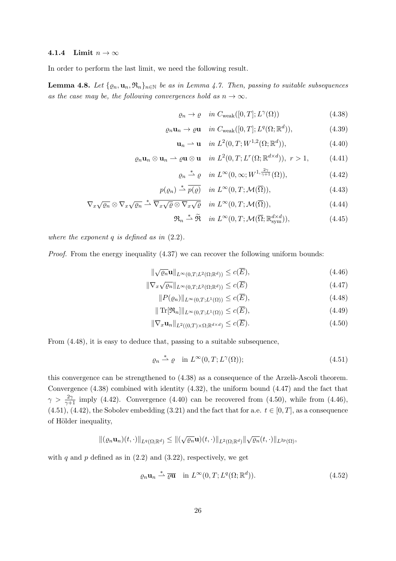#### 4.1.4 Limit  $n \to \infty$

In order to perform the last limit, we need the following result.

**Lemma 4.8.** Let  $\{ \varrho_n, \mathbf{u}_n, \mathfrak{R}_n \}_{n \in \mathbb{N}}$  be as in Lemma 4.7. Then, passing to suitable subsequences as the case may be, the following convergences hold as  $n \to \infty$ .

$$
\varrho_n \to \varrho \quad in \ C_{\text{weak}}([0,T]; L^{\gamma}(\Omega)) \tag{4.38}
$$

$$
\varrho_n \mathbf{u}_n \to \varrho \mathbf{u} \quad in \ C_{\text{weak}}([0,T]; L^q(\Omega; \mathbb{R}^d)), \tag{4.39}
$$

$$
\mathbf{u}_n \rightharpoonup \mathbf{u} \quad in \ L^2(0, T; W^{1,2}(\Omega; \mathbb{R}^d)), \tag{4.40}
$$

$$
\varrho_n \mathbf{u}_n \otimes \mathbf{u}_n \rightharpoonup \varrho \mathbf{u} \otimes \mathbf{u} \quad \text{in } L^2(0,T;L^r(\Omega;\mathbb{R}^{d \times d})), \ r > 1,
$$
 (4.41)

$$
\varrho_n \stackrel{*}{\rightharpoonup} \varrho \quad in \ L^{\infty}(0, \infty; W^{1, \frac{2\gamma}{\gamma+1}}(\Omega)), \tag{4.42}
$$

$$
p(\varrho_n) \stackrel{*}{\rightharpoonup} \overline{p(\varrho)} \quad \text{in } L^{\infty}(0, T; \mathcal{M}(\overline{\Omega})), \tag{4.43}
$$

$$
\nabla_x \sqrt{\varrho_n} \otimes \nabla_x \sqrt{\varrho_n} \stackrel{*}{\rightharpoonup} \overline{\nabla_x \sqrt{\varrho} \otimes \nabla_x \sqrt{\varrho}} \quad \text{in } L^{\infty}(0, T; \mathcal{M}(\overline{\Omega})), \tag{4.44}
$$

$$
\mathfrak{R}_n \stackrel{*}{\rightharpoonup} \widetilde{\mathfrak{R}} \quad in \ L^{\infty}(0, T; \mathcal{M}(\overline{\Omega}; \mathbb{R}^{d \times d}_{sym})), \tag{4.45}
$$

where the exponent  $q$  is defined as in  $(2.2)$ .

Proof. From the energy inequality (4.37) we can recover the following uniform bounds:

$$
\|\sqrt{\varrho_n}\mathbf{u}\|_{L^{\infty}(0,T;L^2(\Omega;\mathbb{R}^d))} \leq c(\overline{E}),\tag{4.46}
$$

$$
\|\nabla_x \sqrt{\varrho_n}\|_{L^{\infty}(0,T;L^2(\Omega;\mathbb{R}^d))} \leq c(\overline{E})\tag{4.47}
$$

$$
||P(\varrho_n)||_{L^{\infty}(0,T;L^1(\Omega))} \leq c(\overline{E}),\tag{4.48}
$$

$$
\|\operatorname{Tr}[\mathfrak{R}_n]\|_{L^{\infty}(0,T;L^1(\Omega))} \le c(\overline{E}),\tag{4.49}
$$

$$
\|\nabla_x \mathbf{u}_n\|_{L^2((0,T)\times\Omega;\mathbb{R}^{d\times d})} \le c(\overline{E}).\tag{4.50}
$$

From (4.48), it is easy to deduce that, passing to a suitable subsequence,

$$
\varrho_n \stackrel{*}{\rightharpoonup} \varrho \quad \text{in } L^{\infty}(0, T; L^{\gamma}(\Omega)); \tag{4.51}
$$

this convergence can be strengthened to  $(4.38)$  as a consequence of the Arzelà-Ascoli theorem. Convergence (4.38) combined with identity (4.32), the uniform bound (4.47) and the fact that  $\gamma > \frac{2\gamma}{\gamma+1}$  imply (4.42). Convergence (4.40) can be recovered from (4.50), while from (4.46),  $(4.51), (4.42),$  the Sobolev embedding  $(3.21)$  and the fact that for a.e.  $t \in [0, T]$ , as a consequence of Hölder inequality,

$$
\|(\varrho_n\mathbf{u}_n)(t,\cdot)\|_{L^q(\Omega;\mathbb{R}^d)}\leq \|(\sqrt{\varrho_n}\mathbf{u})(t,\cdot)\|_{L^2(\Omega;\mathbb{R}^d)}\|\sqrt{\varrho_n}(t,\cdot)\|_{L^{2p}(\Omega)},
$$

with q and p defined as in  $(2.2)$  and  $(3.22)$ , respectively, we get

$$
\varrho_n \mathbf{u}_n \stackrel{*}{\rightharpoonup} \overline{\varrho} \overline{\mathbf{u}} \quad \text{in } L^{\infty}(0, T; L^q(\Omega; \mathbb{R}^d)).
$$
\n(4.52)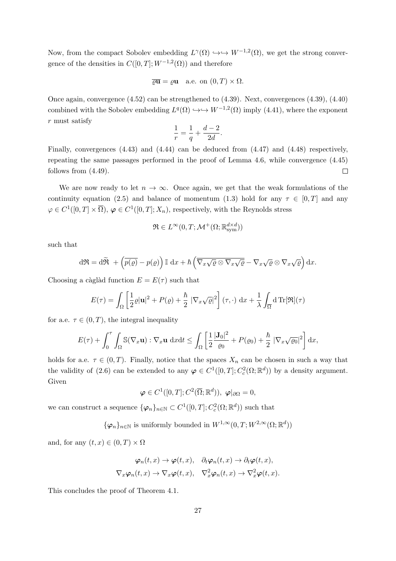Now, from the compact Sobolev embedding  $L^{\gamma}(\Omega) \hookrightarrow \hookrightarrow W^{-1,2}(\Omega)$ , we get the strong convergence of the densities in  $C([0,T]; W^{-1,2}(\Omega))$  and therefore

$$
\overline{\varrho}\overline{\mathbf{u}} = \varrho\mathbf{u}
$$
 a.e. on  $(0, T) \times \Omega$ .

Once again, convergence (4.52) can be strengthened to (4.39). Next, convergences (4.39), (4.40) combined with the Sobolev embedding  $L^q(\Omega) \hookrightarrow \hookrightarrow W^{-1,2}(\Omega)$  imply (4.41), where the exponent r must satisfy

$$
\frac{1}{r} = \frac{1}{q} + \frac{d-2}{2d}.
$$

Finally, convergences (4.43) and (4.44) can be deduced from (4.47) and (4.48) respectively, repeating the same passages performed in the proof of Lemma 4.6, while convergence (4.45) follows from (4.49).  $\Box$ 

We are now ready to let  $n \to \infty$ . Once again, we get that the weak formulations of the continuity equation (2.5) and balance of momentum (1.3) hold for any  $\tau \in [0, T]$  and any  $\varphi \in C^1([0,T] \times \overline{\Omega}), \varphi \in C^1([0,T];X_n)$ , respectively, with the Reynolds stress

$$
\mathfrak{R} \in L^{\infty}(0,T;\mathcal{M}^+(\Omega;\mathbb{R}_\mathrm{sym}^{d \times d}))
$$

such that

$$
d\mathfrak{R} = d\widetilde{\mathfrak{R}} + \left(\overline{p(\varrho)} - p(\varrho)\right) \mathbb{I} \, dx + \hbar \left(\overline{\nabla_x \sqrt{\varrho} \otimes \nabla_x \sqrt{\varrho}} - \nabla_x \sqrt{\varrho} \otimes \nabla_x \sqrt{\varrho}\right) dx.
$$

Choosing a càglàd function  $E = E(\tau)$  such that

$$
E(\tau) = \int_{\Omega} \left[ \frac{1}{2} \varrho |\mathbf{u}|^2 + P(\varrho) + \frac{\hbar}{2} \left| \nabla_x \sqrt{\varrho} \right|^2 \right] (\tau, \cdot) \, \mathrm{d}x + \frac{1}{\lambda} \int_{\overline{\Omega}} \mathrm{d} \, \text{Tr}[\mathfrak{R}](\tau)
$$

for a.e.  $\tau \in (0, T)$ , the integral inequality

$$
E(\tau) + \int_0^{\tau} \int_{\Omega} \mathbb{S}(\nabla_x \mathbf{u}) : \nabla_x \mathbf{u} \, dxdt \le \int_{\Omega} \left[ \frac{1}{2} \frac{|\mathbf{J}_0|^2}{\varrho_0} + P(\varrho_0) + \frac{\hbar}{2} \left| \nabla_x \sqrt{\varrho_0} \right|^2 \right] dx,
$$

holds for a.e.  $\tau \in (0, T)$ . Finally, notice that the spaces  $X_n$  can be chosen in such a way that the validity of (2.6) can be extended to any  $\varphi \in C^1([0,T]; C_c^2(\Omega;\mathbb{R}^d))$  by a density argument. Given

 $\boldsymbol{\varphi} \in C^1([0,T];C^2(\overline{\Omega};\mathbb{R}^d)),\; \boldsymbol{\varphi}|_{\partial \Omega} = 0,$ 

we can construct a sequence  $\{\varphi_n\}_{n\in\mathbb{N}} \subset C^1([0,T]; C_c^2(\Omega;\mathbb{R}^d))$  such that

 $\{\varphi_n\}_{n\in\mathbb{N}}$  is uniformly bounded in  $W^{1,\infty}(0,T;W^{2,\infty}(\Omega;\mathbb{R}^d))$ 

and, for any  $(t, x) \in (0, T) \times \Omega$ 

$$
\varphi_n(t,x) \to \varphi(t,x), \quad \partial_t \varphi_n(t,x) \to \partial_t \varphi(t,x),
$$
  

$$
\nabla_x \varphi_n(t,x) \to \nabla_x \varphi(t,x), \quad \nabla_x^2 \varphi_n(t,x) \to \nabla_x^2 \varphi(t,x).
$$

This concludes the proof of Theorem 4.1.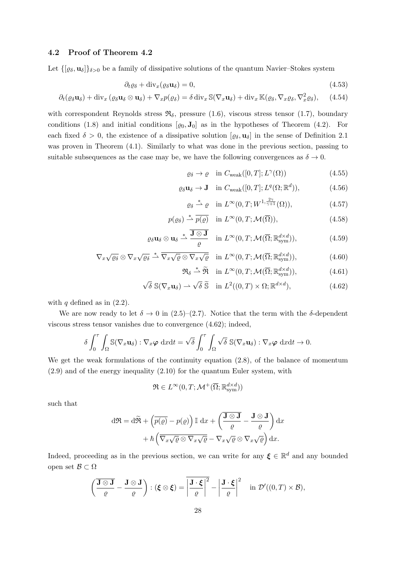#### 4.2 Proof of Theorem 4.2

Let  $\{[\varrho_\delta, \mathbf{u}_\delta]\}_{\delta>0}$  be a family of dissipative solutions of the quantum Navier–Stokes system

$$
\partial_t \varrho_\delta + \text{div}_x(\varrho_\delta \mathbf{u}_\delta) = 0,\tag{4.53}
$$

$$
\partial_t(\varrho_\delta \mathbf{u}_\delta) + \operatorname{div}_x(\varrho_\delta \mathbf{u}_\delta \otimes \mathbf{u}_\delta) + \nabla_x p(\varrho_\delta) = \delta \operatorname{div}_x \mathbb{S}(\nabla_x \mathbf{u}_\delta) + \operatorname{div}_x \mathbb{K}(\varrho_\delta, \nabla_x \varrho_\delta, \nabla_x^2 \varrho_\delta), \quad (4.54)
$$

with correspondent Reynolds stress  $\mathfrak{R}_{\delta}$ , pressure (1.6), viscous stress tensor (1.7), boundary conditions (1.8) and initial conditions  $[\varrho_0, \mathbf{J}_0]$  as in the hypotheses of Theorem (4.2). For each fixed  $\delta > 0$ , the existence of a dissipative solution  $[\varrho_{\delta}, \mathbf{u}_{\delta}]$  in the sense of Definition 2.1 was proven in Theorem (4.1). Similarly to what was done in the previous section, passing to suitable subsequences as the case may be, we have the following convergences as  $\delta \to 0$ .

> $\varrho_{\delta} \to \varrho \quad \text{in } C_{\text{weak}}([0,T];L^{\gamma})$  $(4.55)$

$$
\varrho_{\delta}\mathbf{u}_{\delta} \to \mathbf{J} \quad \text{in } C_{\text{weak}}([0,T]; L^{q}(\Omega; \mathbb{R}^{d})), \tag{4.56}
$$

$$
\varrho_{\delta} \stackrel{*}{\rightharpoonup} \varrho \quad \text{in } L^{\infty}(0, T; W^{1, \frac{2\gamma}{\gamma+1}}(\Omega)), \tag{4.57}
$$

$$
p(\varrho_{\delta}) \stackrel{*}{\rightharpoonup} \overline{p(\varrho)} \quad \text{in } L^{\infty}(0, T; \mathcal{M}(\overline{\Omega})), \tag{4.58}
$$

$$
\varrho_{\delta}\mathbf{u}_{\delta}\otimes\mathbf{u}_{\delta}\stackrel{*}{\rightharpoonup}\frac{\overline{\mathbf{J}\otimes\mathbf{J}}}{\varrho}\quad\text{in }L^{\infty}(0,T;\mathcal{M}(\overline{\Omega};\mathbb{R}_{\text{sym}}^{d\times d})),\tag{4.59}
$$

$$
\nabla_x \sqrt{\varrho_\delta} \otimes \nabla_x \sqrt{\varrho_\delta} \stackrel{*}{\rightharpoonup} \overline{\nabla_x \sqrt{\varrho} \otimes \nabla_x \sqrt{\varrho}} \quad \text{in } L^\infty(0, T; \mathcal{M}(\overline{\Omega}; \mathbb{R}^{d \times d}_{sym})), \tag{4.60}
$$

$$
\mathfrak{R}_{\delta} \stackrel{*}{\rightharpoonup} \widetilde{\mathfrak{R}} \quad \text{in } L^{\infty}(0, T; \mathcal{M}(\overline{\Omega}; \mathbb{R}^{d \times d}_{sym})), \tag{4.61}
$$

$$
\sqrt{\delta} \, \mathbb{S}(\nabla_x \mathbf{u}_\delta) \rightharpoonup \sqrt{\delta} \, \widetilde{\mathbb{S}} \quad \text{in } L^2((0,T) \times \Omega; \mathbb{R}^{d \times d}), \tag{4.62}
$$

with q defined as in  $(2.2)$ .

We are now ready to let  $\delta \to 0$  in (2.5)–(2.7). Notice that the term with the  $\delta$ -dependent viscous stress tensor vanishes due to convergence (4.62); indeed,

$$
\delta \int_0^{\tau} \int_{\Omega} \mathbb{S}(\nabla_x \mathbf{u}_{\delta}) : \nabla_x \boldsymbol{\varphi} \, dxdt = \sqrt{\delta} \int_0^{\tau} \int_{\Omega} \sqrt{\delta} \, \mathbb{S}(\nabla_x \mathbf{u}_{\delta}) : \nabla_x \boldsymbol{\varphi} \, dxdt \to 0.
$$

We get the weak formulations of the continuity equation (2.8), of the balance of momentum (2.9) and of the energy inequality (2.10) for the quantum Euler system, with

$$
\mathfrak{R} \in L^{\infty}(0,T;\mathcal{M}^{+}(\overline{\Omega};\mathbb{R}_\mathrm{sym}^{d \times d}))
$$

such that

$$
d\mathfrak{R} = d\widetilde{\mathfrak{R}} + \left(\overline{p(\varrho)} - p(\varrho)\right) \mathbb{I} \, dx + \left(\frac{\overline{\mathbf{J}\otimes \mathbf{J}}}{\varrho} - \frac{\mathbf{J}\otimes \mathbf{J}}{\varrho}\right) dx + \hbar \left(\overline{\nabla_x \sqrt{\varrho} \otimes \nabla_x \sqrt{\varrho}} - \nabla_x \sqrt{\varrho} \otimes \nabla_x \sqrt{\varrho}\right) dx.
$$

Indeed, proceeding as in the previous section, we can write for any  $\xi \in \mathbb{R}^d$  and any bounded open set  $\mathcal{B} \subset \Omega$ 

$$
\left(\frac{\overline{\mathbf{J}\otimes\mathbf{J}}}{\varrho}-\frac{\mathbf{J}\otimes\mathbf{J}}{\varrho}\right):\left(\boldsymbol{\xi}\otimes\boldsymbol{\xi}\right)=\left|\frac{\mathbf{J}\cdot\boldsymbol{\xi}}{\varrho}\right|^2-\left|\frac{\mathbf{J}\cdot\boldsymbol{\xi}}{\varrho}\right|^2\quad\text{in }\mathcal{D}'((0,T)\times\mathcal{B}),
$$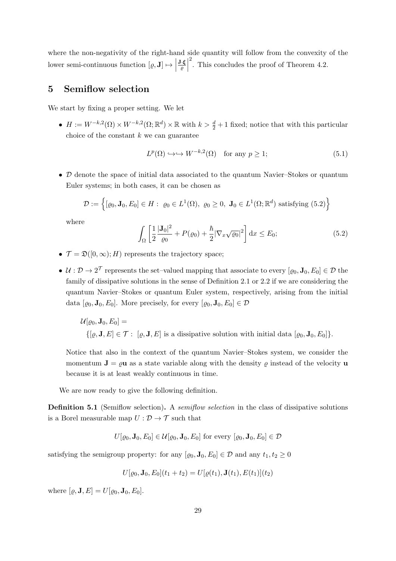where the non-negativity of the right-hand side quantity will follow from the convexity of the lower semi-continuous function  $[\varrho, \mathbf{J}] \mapsto \left| \begin{array}{c} 0 \end{array} \right|$ J·ξ  $\frac{\partial \cdot \xi}{\partial \varrho}$ 2 . This concludes the proof of Theorem 4.2.

## 5 Semiflow selection

We start by fixing a proper setting. We let

•  $H := W^{-k,2}(\Omega) \times W^{-k,2}(\Omega; \mathbb{R}^d) \times \mathbb{R}$  with  $k > \frac{d}{2} + 1$  fixed; notice that with this particular choice of the constant  $k$  we can guarantee

$$
L^p(\Omega) \hookrightarrow \hookrightarrow W^{-k,2}(\Omega) \quad \text{for any } p \ge 1; \tag{5.1}
$$

• D denote the space of initial data associated to the quantum Navier–Stokes or quantum Euler systems; in both cases, it can be chosen as

$$
\mathcal{D} := \left\{ [\varrho_0, \mathbf{J}_0, E_0] \in H : \varrho_0 \in L^1(\Omega), \ \varrho_0 \ge 0, \ \mathbf{J}_0 \in L^1(\Omega; \mathbb{R}^d) \text{ satisfying (5.2)} \right\}
$$

where

$$
\int_{\Omega} \left[ \frac{1}{2} \frac{|\mathbf{J}_0|^2}{\varrho_0} + P(\varrho_0) + \frac{\hbar}{2} |\nabla_x \sqrt{\varrho_0}|^2 \right] dx \le E_0;
$$
\n(5.2)

- $\mathcal{T} = \mathfrak{D}([0,\infty);H)$  represents the trajectory space;
- $\mathcal{U}: \mathcal{D} \to 2^{\mathcal{T}}$  represents the set-valued mapping that associate to every  $[\varrho_0, \mathbf{J}_0, E_0] \in \mathcal{D}$  the family of dissipative solutions in the sense of Definition 2.1 or 2.2 if we are considering the quantum Navier–Stokes or quantum Euler system, respectively, arising from the initial data  $[\varrho_0, \mathbf{J}_0, E_0]$ . More precisely, for every  $[\varrho_0, \mathbf{J}_0, E_0] \in \mathcal{D}$

$$
\mathcal{U}[\varrho_0, \mathbf{J}_0, E_0] =
$$
  
{[\varrho, \mathbf{J}, E] \in \mathcal{T}: [\varrho, \mathbf{J}, E] is a dissipative solution with initial data [ $\varrho_0, \mathbf{J}_0, E_0$ ]}  
.

Notice that also in the context of the quantum Navier–Stokes system, we consider the momentum  $J = \rho u$  as a state variable along with the density  $\rho$  instead of the velocity u because it is at least weakly continuous in time.

We are now ready to give the following definition.

**Definition 5.1** (Semiflow selection). A *semiflow selection* in the class of dissipative solutions is a Borel measurable map  $U: \mathcal{D} \to \mathcal{T}$  such that

$$
U[\varrho_0, \mathbf{J}_0, E_0] \in \mathcal{U}[\varrho_0, \mathbf{J}_0, E_0] \text{ for every } [\varrho_0, \mathbf{J}_0, E_0] \in \mathcal{D}
$$

satisfying the semigroup property: for any  $[\varrho_0, \mathbf{J}_0, E_0] \in \mathcal{D}$  and any  $t_1, t_2 \geq 0$ 

$$
U[\varrho_0, \mathbf{J}_0, E_0](t_1 + t_2) = U[\varrho(t_1), \mathbf{J}(t_1), E(t_1)](t_2)
$$

where  $[\varrho, \mathbf{J}, E] = U[\varrho_0, \mathbf{J}_0, E_0]$ .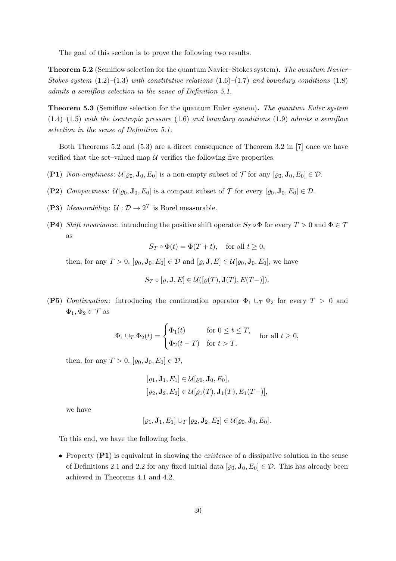The goal of this section is to prove the following two results.

Theorem 5.2 (Semiflow selection for the quantum Navier–Stokes system). The quantum Navier– Stokes system  $(1.2)$ – $(1.3)$  with constitutive relations  $(1.6)$ – $(1.7)$  and boundary conditions  $(1.8)$ admits a semiflow selection in the sense of Definition 5.1.

**Theorem 5.3** (Semiflow selection for the quantum Euler system). The quantum Euler system  $(1.4)$ – $(1.5)$  with the isentropic pressure  $(1.6)$  and boundary conditions  $(1.9)$  admits a semiflow selection in the sense of Definition 5.1.

Both Theorems 5.2 and (5.3) are a direct consequence of Theorem 3.2 in [7] once we have verified that the set–valued map  $\mathcal U$  verifies the following five properties.

- (P1) Non-emptiness:  $\mathcal{U}[\varrho_0, \mathbf{J}_0, E_0]$  is a non-empty subset of  $\mathcal{T}$  for any  $[\varrho_0, \mathbf{J}_0, E_0] \in \mathcal{D}$ .
- (P2) Compactness:  $\mathcal{U}[\varrho_0, \mathbf{J}_0, E_0]$  is a compact subset of  $\mathcal{T}$  for every  $[\varrho_0, \mathbf{J}_0, E_0] \in \mathcal{D}$ .
- (P3) Measurability:  $\mathcal{U}: \mathcal{D} \to 2^{\mathcal{T}}$  is Borel measurable.
- (P4) Shift invariance: introducing the positive shift operator  $S_T \circ \Phi$  for every  $T > 0$  and  $\Phi \in \mathcal{T}$ as

$$
S_T \circ \Phi(t) = \Phi(T + t), \quad \text{for all } t \ge 0,
$$

then, for any  $T > 0$ ,  $[\varrho_0, \mathbf{J}_0, E_0] \in \mathcal{D}$  and  $[\varrho, \mathbf{J}, E] \in \mathcal{U}[\varrho_0, \mathbf{J}_0, E_0]$ , we have

$$
S_T \circ [\varrho, \mathbf{J}, E] \in \mathcal{U}([\varrho(T), \mathbf{J}(T), E(T-)]).
$$

(P5) Continuation: introducing the continuation operator  $\Phi_1 \cup_T \Phi_2$  for every  $T > 0$  and  $\Phi_1, \Phi_2 \in \mathcal{T}$  as

$$
\Phi_1 \cup_T \Phi_2(t) = \begin{cases} \Phi_1(t) & \text{for } 0 \le t \le T, \\ \Phi_2(t-T) & \text{for } t > T, \end{cases} \quad \text{for all } t \ge 0,
$$

then, for any  $T > 0$ ,  $[\varrho_0, \mathbf{J}_0, E_0] \in \mathcal{D}$ ,

$$
[\varrho_1, \mathbf{J}_1, E_1] \in \mathcal{U}[\varrho_0, \mathbf{J}_0, E_0],
$$
  

$$
[\varrho_2, \mathbf{J}_2, E_2] \in \mathcal{U}[\varrho_1(T), \mathbf{J}_1(T), E_1(T-)],
$$

we have

 $[\rho_1, \mathbf{J}_1, E_1] \cup_T [\rho_2, \mathbf{J}_2, E_2] \in \mathcal{U}[\rho_0, \mathbf{J}_0, E_0].$ 

To this end, we have the following facts.

• Property  $(P1)$  is equivalent in showing the *existence* of a dissipative solution in the sense of Definitions 2.1 and 2.2 for any fixed initial data  $[\varrho_0, \mathbf{J}_0, E_0] \in \mathcal{D}$ . This has already been achieved in Theorems 4.1 and 4.2.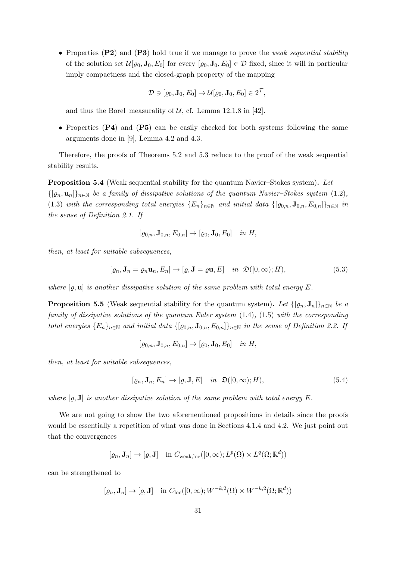• Properties (P2) and (P3) hold true if we manage to prove the *weak sequential stability* of the solution set  $\mathcal{U}[\varrho_0, \mathbf{J}_0, E_0]$  for every  $[\varrho_0, \mathbf{J}_0, E_0] \in \mathcal{D}$  fixed, since it will in particular imply compactness and the closed-graph property of the mapping

$$
\mathcal{D} \ni [\varrho_0, \mathbf{J}_0, E_0] \to \mathcal{U}[\varrho_0, \mathbf{J}_0, E_0] \in 2^{\mathcal{T}},
$$

and thus the Borel–measurality of  $U$ , cf. Lemma 12.1.8 in [42].

• Properties (P4) and (P5) can be easily checked for both systems following the same arguments done in [9], Lemma 4.2 and 4.3.

Therefore, the proofs of Theorems 5.2 and 5.3 reduce to the proof of the weak sequential stability results.

Proposition 5.4 (Weak sequential stability for the quantum Navier–Stokes system). Let  $\{[\varrho_n, \mathbf{u}_n]\}_{n\in\mathbb{N}}$  be a family of dissipative solutions of the quantum Navier–Stokes system (1.2), (1.3) with the corresponding total energies  ${E_n}_{n\in\mathbb{N}}$  and initial data  $\{[\varrho_{0,n}, \mathbf{J}_{0,n}, E_{0,n}]\}_{n\in\mathbb{N}}$  in the sense of Definition 2.1. If

$$
[\varrho_{0,n}, \mathbf{J}_{0,n}, E_{0,n}] \to [\varrho_0, \mathbf{J}_0, E_0] \quad in \ H,
$$

then, at least for suitable subsequences,

$$
[\varrho_n, \mathbf{J}_n = \varrho_n \mathbf{u}_n, E_n] \to [\varrho, \mathbf{J} = \varrho \mathbf{u}, E] \quad \text{in } \mathfrak{D}([0, \infty); H), \tag{5.3}
$$

where  $[\varrho, \mathbf{u}]$  is another dissipative solution of the same problem with total energy E.

**Proposition 5.5** (Weak sequential stability for the quantum system). Let  $\{[\varrho_n, \mathbf{J}_n]\}_{n\in\mathbb{N}}$  be a family of dissipative solutions of the quantum Euler system (1.4), (1.5) with the corresponding total energies  ${E_n}_{n \in \mathbb{N}}$  and initial data  $\{[\varrho_{0,n}, \mathbf{J}_{0,n}, E_{0,n}]\}_{n \in \mathbb{N}}$  in the sense of Definition 2.2. If

$$
[\varrho_{0,n}, \mathbf{J}_{0,n}, E_{0,n}] \to [\varrho_0, \mathbf{J}_0, E_0] \quad in \ H,
$$

then, at least for suitable subsequences,

$$
[\varrho_n, \mathbf{J}_n, E_n] \to [\varrho, \mathbf{J}, E] \quad in \ \mathfrak{D}([0, \infty); H), \tag{5.4}
$$

where  $[\varrho, \mathbf{J}]$  is another dissipative solution of the same problem with total energy E.

We are not going to show the two aforementioned propositions in details since the proofs would be essentially a repetition of what was done in Sections 4.1.4 and 4.2. We just point out that the convergences

$$
[\varrho_n, \mathbf{J}_n] \to [\varrho, \mathbf{J}] \quad \text{in } C_{\text{weak,loc}}([0,\infty); L^p(\Omega) \times L^q(\Omega; \mathbb{R}^d))
$$

can be strengthened to

$$
[\varrho_n, \mathbf{J}_n] \to [\varrho, \mathbf{J}] \quad \text{in } C_{\text{loc}}([0, \infty); W^{-k, 2}(\Omega) \times W^{-k, 2}(\Omega; \mathbb{R}^d))
$$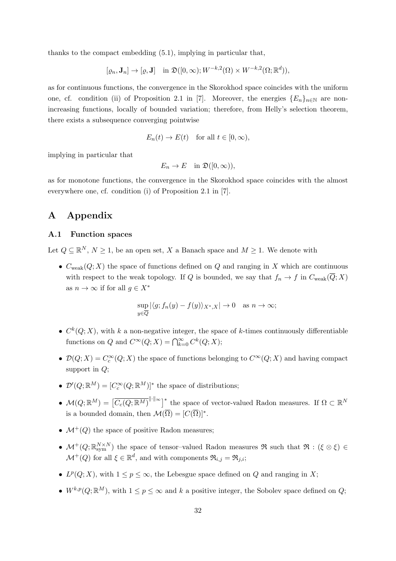thanks to the compact embedding (5.1), implying in particular that,

$$
[\varrho_n, \mathbf{J}_n] \to [\varrho, \mathbf{J}] \quad \text{in } \mathfrak{D}([0, \infty); W^{-k,2}(\Omega) \times W^{-k,2}(\Omega; \mathbb{R}^d)),
$$

as for continuous functions, the convergence in the Skorokhod space coincides with the uniform one, cf. condition (ii) of Proposition 2.1 in [7]. Moreover, the energies  ${E_n}_{n\in\mathbb{N}}$  are nonincreasing functions, locally of bounded variation; therefore, from Helly's selection theorem, there exists a subsequence converging pointwise

$$
E_n(t) \to E(t) \quad \text{for all } t \in [0, \infty),
$$

implying in particular that

$$
E_n \to E \quad \text{in } \mathfrak{D}([0,\infty)),
$$

as for monotone functions, the convergence in the Skorokhod space coincides with the almost everywhere one, cf. condition (i) of Proposition 2.1 in [7].

## A Appendix

#### A.1 Function spaces

Let  $Q \subseteq \mathbb{R}^N$ ,  $N \geq 1$ , be an open set, X a Banach space and  $M \geq 1$ . We denote with

•  $C_{weak}(Q;X)$  the space of functions defined on Q and ranging in X which are continuous with respect to the weak topology. If Q is bounded, we say that  $f_n \to f$  in  $C_{weak}(\overline{Q}; X)$ as  $n \to \infty$  if for all  $q \in X^*$ 

$$
\sup_{y \in \overline{Q}} |\langle g; f_n(y) - f(y) \rangle_{X^*,X}| \to 0 \quad \text{as } n \to \infty;
$$

- $C<sup>k</sup>(Q; X)$ , with k a non-negative integer, the space of k-times continuously differentiable functions on Q and  $C^{\infty}(Q;X) = \bigcap_{k=0}^{\infty} C^k(Q;X);$
- $\mathcal{D}(Q;X) = C_c^{\infty}(Q;X)$  the space of functions belonging to  $C^{\infty}(Q;X)$  and having compact support in  $Q$ ;
- $\mathcal{D}'(Q;\mathbb{R}^M) = [C_c^{\infty}(Q;\mathbb{R}^M)]^*$  the space of distributions;
- $\mathcal{M}(Q;\mathbb{R}^M) = \left[\overline{C_c(Q;\mathbb{R}^M)}^{\|\cdot\|_{\infty}}\right]^*$  the space of vector-valued Radon measures. If  $\Omega \subset \mathbb{R}^N$ is a bounded domain, then  $\mathcal{M}(\overline{\Omega}) = [C(\overline{\Omega})]^*$ .
- $\mathcal{M}^+(Q)$  the space of positive Radon measures;
- $\mathcal{M}^+(Q;\mathbb{R}_\mathrm{sym}^{N\times N})$  the space of tensor-valued Radon measures  $\Re$  such that  $\Re:(\xi\otimes\xi)\in$  $\mathcal{M}^+(Q)$  for all  $\xi \in \mathbb{R}^d$ , and with components  $\mathfrak{R}_{i,j} = \mathfrak{R}_{j,i};$
- $L^p(Q; X)$ , with  $1 \leq p \leq \infty$ , the Lebesgue space defined on Q and ranging in X;
- $W^{k,p}(Q; \mathbb{R}^M)$ , with  $1 \leq p \leq \infty$  and k a positive integer, the Sobolev space defined on  $Q$ ;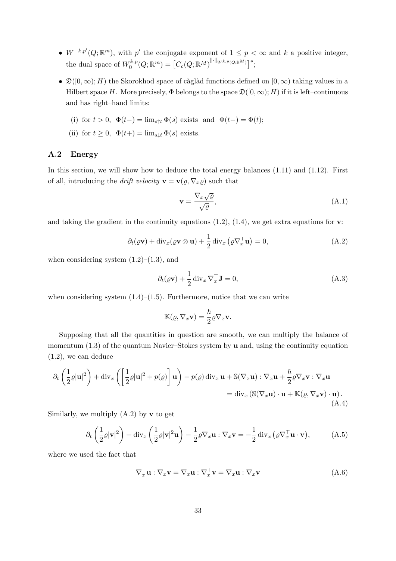- $W^{-k,p'}(Q;\mathbb{R}^m)$ , with p' the conjugate exponent of  $1 \leq p < \infty$  and k a positive integer, the dual space of  $W_0^{k,p}$  $\overline{C_c^k(P(Q;\mathbb R^M))} = \big[\overline{C_c(Q;\mathbb R^M)}^{\|\cdot\|_{W^{k,p}(Q;\mathbb R^M)}}\big]^*;$
- $\mathfrak{D}([0,\infty); H)$  the Skorokhod space of càglàd functions defined on  $[0,\infty)$  taking values in a Hilbert space H. More precisely,  $\Phi$  belongs to the space  $\mathfrak{D}([0,\infty); H)$  if it is left–continuous and has right–hand limits:

(i) for 
$$
t > 0
$$
,  $\Phi(t-) = \lim_{s \uparrow t} \Phi(s)$  exists and  $\Phi(t-) = \Phi(t)$ ;

(ii) for  $t \geq 0$ ,  $\Phi(t+) = \lim_{s \downarrow t} \Phi(s)$  exists.

#### A.2 Energy

In this section, we will show how to deduce the total energy balances  $(1.11)$  and  $(1.12)$ . First of all, introducing the *drift velocity*  $\mathbf{v} = \mathbf{v}(\varrho, \nabla_x \varrho)$  such that

$$
\mathbf{v} = \frac{\nabla_x \sqrt{\varrho}}{\sqrt{\varrho}},\tag{A.1}
$$

and taking the gradient in the continuity equations  $(1.2)$ ,  $(1.4)$ , we get extra equations for **v**:

$$
\partial_t(\varrho \mathbf{v}) + \operatorname{div}_x(\varrho \mathbf{v} \otimes \mathbf{u}) + \frac{1}{2} \operatorname{div}_x(\varrho \nabla_x^\top \mathbf{u}) = 0, \tag{A.2}
$$

when considering system  $(1.2)$ – $(1.3)$ , and

$$
\partial_t(\varrho \mathbf{v}) + \frac{1}{2} \operatorname{div}_x \nabla_x^\top \mathbf{J} = 0,
$$
\n(A.3)

when considering system  $(1.4)$ – $(1.5)$ . Furthermore, notice that we can write

$$
\mathbb{K}(\varrho,\nabla_x \mathbf{v}) = \frac{\hbar}{2} \varrho \nabla_x \mathbf{v}.
$$

Supposing that all the quantities in question are smooth, we can multiply the balance of momentum  $(1.3)$  of the quantum Navier–Stokes system by **u** and, using the continuity equation (1.2), we can deduce

$$
\partial_t \left( \frac{1}{2} \varrho |\mathbf{u}|^2 \right) + \text{div}_x \left( \left[ \frac{1}{2} \varrho |\mathbf{u}|^2 + p(\varrho) \right] \mathbf{u} \right) - p(\varrho) \, \text{div}_x \, \mathbf{u} + \mathbb{S}(\nabla_x \mathbf{u}) : \nabla_x \mathbf{u} + \frac{\hbar}{2} \varrho \nabla_x \mathbf{v} : \nabla_x \mathbf{u}
$$
\n
$$
= \text{div}_x \left( \mathbb{S}(\nabla_x \mathbf{u}) \cdot \mathbf{u} + \mathbb{K}(\varrho, \nabla_x \mathbf{v}) \cdot \mathbf{u} \right). \tag{A.4}
$$

Similarly, we multiply  $(A.2)$  by  $\bf{v}$  to get

$$
\partial_t \left( \frac{1}{2} \varrho |\mathbf{v}|^2 \right) + \text{div}_x \left( \frac{1}{2} \varrho |\mathbf{v}|^2 \mathbf{u} \right) - \frac{1}{2} \varrho \nabla_x \mathbf{u} : \nabla_x \mathbf{v} = -\frac{1}{2} \text{div}_x \left( \varrho \nabla_x^{\top} \mathbf{u} \cdot \mathbf{v} \right), \tag{A.5}
$$

where we used the fact that

$$
\nabla_x^{\top} \mathbf{u} : \nabla_x \mathbf{v} = \nabla_x \mathbf{u} : \nabla_x^{\top} \mathbf{v} = \nabla_x \mathbf{u} : \nabla_x \mathbf{v}
$$
(A.6)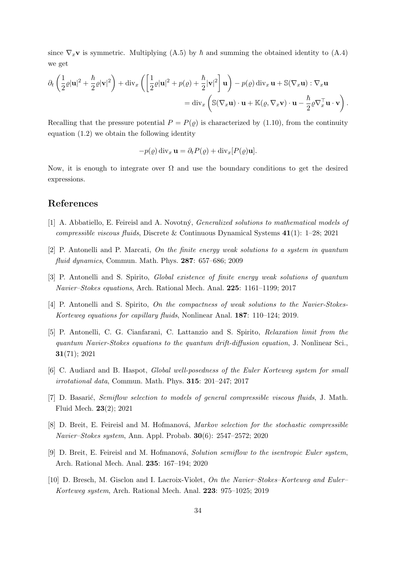since  $\nabla_x$ **v** is symmetric. Multiplying (A.5) by  $\hbar$  and summing the obtained identity to (A.4) we get

$$
\partial_t \left( \frac{1}{2} \varrho |\mathbf{u}|^2 + \frac{\hbar}{2} \varrho |\mathbf{v}|^2 \right) + \text{div}_x \left( \left[ \frac{1}{2} \varrho |\mathbf{u}|^2 + p(\varrho) + \frac{\hbar}{2} |\mathbf{v}|^2 \right] \mathbf{u} \right) - p(\varrho) \, \text{div}_x \, \mathbf{u} + \mathbb{S}(\nabla_x \mathbf{u}) : \nabla_x \mathbf{u}
$$
\n
$$
= \text{div}_x \left( \mathbb{S}(\nabla_x \mathbf{u}) \cdot \mathbf{u} + \mathbb{K}(\varrho, \nabla_x \mathbf{v}) \cdot \mathbf{u} - \frac{\hbar}{2} \varrho \nabla_x^{\top} \mathbf{u} \cdot \mathbf{v} \right).
$$

Recalling that the pressure potential  $P = P(\varrho)$  is characterized by (1.10), from the continuity equation (1.2) we obtain the following identity

$$
-p(\varrho) \operatorname{div}_x \mathbf{u} = \partial_t P(\varrho) + \operatorname{div}_x [P(\varrho) \mathbf{u}].
$$

Now, it is enough to integrate over  $\Omega$  and use the boundary conditions to get the desired expressions.

## References

- [1] A. Abbatiello, E. Feireisl and A. Novotný, *Generalized solutions to mathematical models of* compressible viscous fluids, Discrete & Continuous Dynamical Systems 41(1): 1–28; 2021
- [2] P. Antonelli and P. Marcati, On the finite energy weak solutions to a system in quantum fluid dynamics, Commun. Math. Phys. 287: 657–686; 2009
- [3] P. Antonelli and S. Spirito, Global existence of finite energy weak solutions of quantum Navier–Stokes equations, Arch. Rational Mech. Anal. 225: 1161–1199; 2017
- [4] P. Antonelli and S. Spirito, On the compactness of weak solutions to the Navier-Stokes-Korteweg equations for capillary fluids, Nonlinear Anal. 187: 110–124; 2019.
- [5] P. Antonelli, C. G. Cianfarani, C. Lattanzio and S. Spirito, Relaxation limit from the quantum Navier-Stokes equations to the quantum drift-diffusion equation, J. Nonlinear Sci., 31(71); 2021
- [6] C. Audiard and B. Haspot, *Global well-posedness of the Euler Korteweg system for small* irrotational data, Commun. Math. Phys. 315: 201–247; 2017
- [7] D. Basarić, Semiflow selection to models of general compressible viscous fluids, J. Math. Fluid Mech. 23(2); 2021
- [8] D. Breit, E. Feireisl and M. Hofmanová, Markov selection for the stochastic compressible Navier–Stokes system, Ann. Appl. Probab. 30(6): 2547–2572; 2020
- [9] D. Breit, E. Feireisl and M. Hofmanová, Solution semiflow to the isentropic Euler system, Arch. Rational Mech. Anal. 235: 167–194; 2020
- [10] D. Bresch, M. Gisclon and I. Lacroix-Violet, On the Navier–Stokes–Korteweg and Euler– Korteweg system, Arch. Rational Mech. Anal. 223: 975–1025; 2019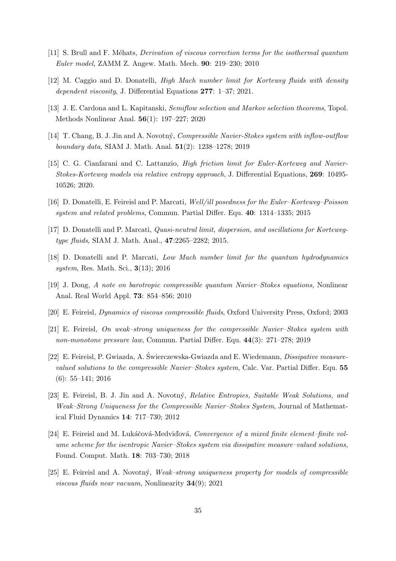- [11] S. Brull and F. M´ehats, Derivation of viscous correction terms for the isothermal quantum Euler model, ZAMM Z. Angew. Math. Mech. 90: 219–230; 2010
- [12] M. Caggio and D. Donatelli, High Mach number limit for Korteweg fluids with density dependent viscosity, J. Differential Equations 277: 1–37; 2021.
- [13] J. E. Cardona and L. Kapitanski, Semiflow selection and Markov selection theorems, Topol. Methods Nonlinear Anal. 56(1): 197–227; 2020
- [14] T. Chang, B. J. Jin and A. Novotn´y, Compressible Navier-Stokes system with inflow-outflow boundary data, SIAM J. Math. Anal. 51(2): 1238–1278; 2019
- [15] C. G. Cianfarani and C. Lattanzio, *High friction limit for Euler-Korteweg and Navier-*Stokes-Korteweg models via relative entropy approach, J. Differential Equations, 269: 10495- 10526; 2020.
- [16] D. Donatelli, E. Feireisl and P. Marcati, Well/ill posedness for the Euler–Korteweg–Poisson system and related problems, Commun. Partial Differ. Equ. 40: 1314–1335; 2015
- [17] D. Donatelli and P. Marcati, Quasi-neutral limit, dispersion, and oscillations for Kortewegtype fluids, SIAM J. Math. Anal., 47:2265-2282; 2015.
- [18] D. Donatelli and P. Marcati, Low Mach number limit for the quantum hydrodynamics system, Res. Math. Sci., 3(13); 2016
- [19] J. Dong, A note on barotropic compressible quantum Navier–Stokes equations, Nonlinear Anal. Real World Appl. 73: 854–856; 2010
- [20] E. Feireisl, Dynamics of viscous compressible fluids, Oxford University Press, Oxford; 2003
- [21] E. Feireisl, On weak–strong uniqueness for the compressible Navier–Stokes system with non-monotone pressure law, Commun. Partial Differ. Equ. 44(3): 271–278; 2019
- [22] E. Feireisl, P. Gwiazda, A. Świerczewska-Gwiazda and E. Wiedemann, Dissipative measurevalued solutions to the compressible Navier–Stokes system, Calc. Var. Partial Differ. Equ. 55 (6): 55–141; 2016
- [23] E. Feireisl, B. J. Jin and A. Novotný, *Relative Entropies, Suitable Weak Solutions, and* Weak–Strong Uniqueness for the Compressible Navier–Stokes System, Journal of Mathematical Fluid Dynamics 14: 717–730; 2012
- [24] E. Feireisl and M. Lukáčová-Medviďová, Convergence of a mixed finite element–finite volume scheme for the isentropic Navier–Stokes system via dissipative measure–valued solutions, Found. Comput. Math. 18: 703–730; 2018
- [25] E. Feireisl and A. Novotný, *Weak–strong uniqueness property for models of compressible* viscous fluids near vacuum, Nonlinearity 34(9); 2021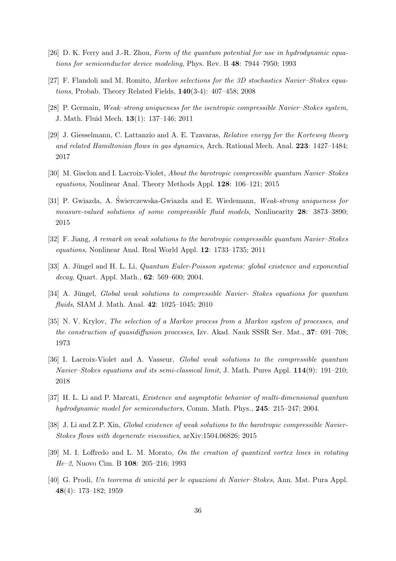- [26] D. K. Ferry and J.-R. Zhou, Form of the quantum potential for use in hydrodynamic equations for semiconductor device modeling, Phys. Rev. B 48: 7944–7950; 1993
- [27] F. Flandoli and M. Romito, Markov selections for the 3D stochastics Navier–Stokes equations, Probab. Theory Related Fields, 140(3-4): 407–458; 2008
- [28] P. Germain, Weak–strong uniqueness for the isentropic compressible Navier–Stokes system, J. Math. Fluid Mech. 13(1): 137–146; 2011
- [29] J. Giesselmann, C. Lattanzio and A. E. Tzavaras, Relative energy for the Korteweg theory and related Hamiltonian flows in gas dynamics, Arch. Rational Mech. Anal. 223: 1427–1484; 2017
- [30] M. Gisclon and I. Lacroix-Violet, About the barotropic compressible quantum Navier–Stokes equations, Nonlinear Anal. Theory Methods Appl. 128: 106–121; 2015
- [31] P. Gwiazda, A. Świerczewska-Gwiazda and E. Wiedemann, *Weak-strong uniqueness for* measure-valued solutions of some compressible fluid models, Nonlinearity 28: 3873–3890; 2015
- [32] F. Jiang, A remark on weak solutions to the barotropic compressible quantum Navier–Stokes equations, Nonlinear Anal. Real World Appl. 12: 1733–1735; 2011
- [33] A. Jüngel and H. L. Li, *Quantum Euler-Poisson systems: global existence and exponential* decay, Quart. Appl. Math., 62: 569–600; 2004.
- [34] A. Jüngel, Global weak solutions to compressible Navier-Stokes equations for quantum fluids, SIAM J. Math. Anal. 42: 1025–1045; 2010
- [35] N. V. Krylov, The selection of a Markov process from a Markov system of processes, and the construction of quasidiffusion processes, Izv. Akad. Nauk SSSR Ser. Mat., 37: 691–708; 1973
- [36] I. Lacroix-Violet and A. Vasseur, Global weak solutions to the compressible quantum Navier–Stokes equations and its semi-classical limit, J. Math. Pures Appl. 114(9): 191–210; 2018
- [37] H. L. Li and P. Marcati, Existence and asymptotic behavior of multi-dimensional quantum hydrodynamic model for semiconductors, Comm. Math. Phys., 245: 215–247; 2004.
- [38] J. Li and Z.P. Xin, *Global existence of weak solutions to the barotropic compressible Navier-*Stokes flows with degenerate viscosities, arXiv:1504.06826; 2015
- [39] M. I. Loffredo and L. M. Morato, On the creation of quantized vortex lines in rotating He–2, Nuovo Cim. B 108: 205–216; 1993
- [40] G. Prodi, Un teorema di unicità per le equazioni di Navier–Stokes, Ann. Mat. Pura Appl. 48(4): 173–182; 1959